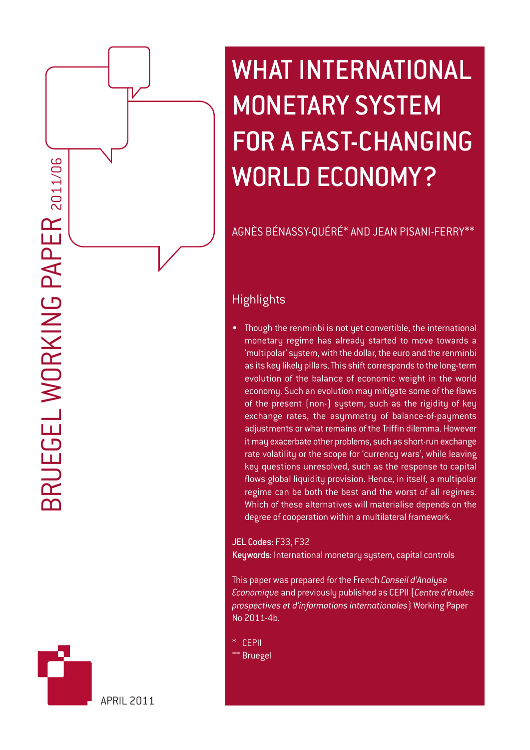# WHAT INTERNATIONAL MONETARY SYSTEM FOR A FAST-CHANGING WORLD ECONOMY?

AGNÈS BÉNASSY-QUÉRÉ\* AND JEAN PISANI-FERRY\*\*

# **Highlights**

Though the renminbi is not yet convertible, the international monetary regime has already started to move towards a 'multipolar' system, with the dollar, the euro and the renminbi as its key likely pillars. This shift corresponds to the long-term evolution of the balance of economic weight in the world economy. Such an evolution may mitigate some of the flaws of the present (non-) system, such as the rigidity of key exchange rates, the asymmetry of balance-of-payments adjustments or what remains of the Triffin dilemma. However it may exacerbate other problems, such as short-run exchange rate volatility or the scope for 'currency wars', while leaving key questions unresolved, such as the response to capital flows global liquidity provision. Hence, in itself, a multipolar regime can be both the best and the worst of all regimes. Which of these alternatives will materialise depends on the degree of cooperation within a multilateral framework.

JEL Codes: F33, F32 Keywords: International monetary system, capital controls

This paper was prepared for the French *Conseil d'Analyse Economique* and previously published as CEPII (*Centre d'études prospectives et d'informations internationales*) Working Paper No 2011-4b.

- \* CEPII
- \*\* Bruegel

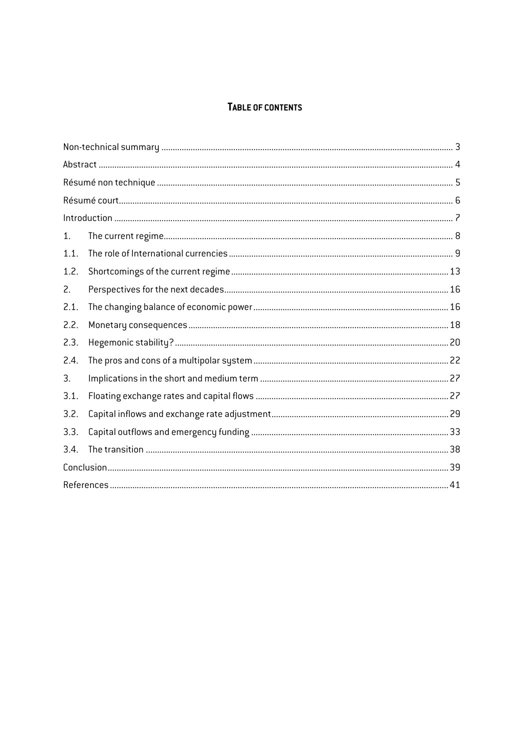# TABLE OF CONTENTS

| 1.   |  |  |  |  |
|------|--|--|--|--|
| 1.1. |  |  |  |  |
| 1.2. |  |  |  |  |
| 2.   |  |  |  |  |
| 2.1. |  |  |  |  |
| 2.2. |  |  |  |  |
| 2.3. |  |  |  |  |
| 2.4. |  |  |  |  |
| 3.   |  |  |  |  |
| 3.1. |  |  |  |  |
| 3.2. |  |  |  |  |
| 3.3. |  |  |  |  |
| 3.4. |  |  |  |  |
|      |  |  |  |  |
|      |  |  |  |  |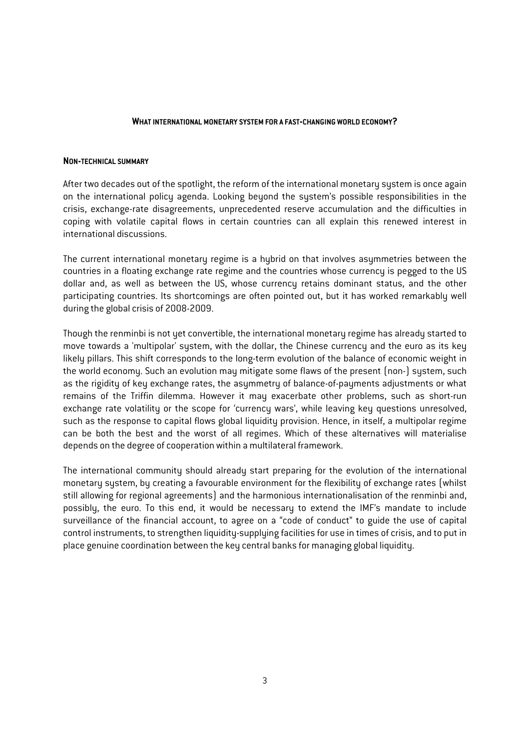#### **WHAT INTERNATIONAL MONETARY SYSTEM FOR A FAST-CHANGING WORLD ECONOMY?**

#### **NON-TECHNICAL SUMMARY**

After two decades out of the spotlight, the reform of the international monetary system is once again on the international policy agenda. Looking beyond the system's possible responsibilities in the crisis, exchange-rate disagreements, unprecedented reserve accumulation and the difficulties in coping with volatile capital flows in certain countries can all explain this renewed interest in international discussions.

The current international monetary regime is a hybrid on that involves asymmetries between the countries in a floating exchange rate regime and the countries whose currency is pegged to the US dollar and, as well as between the US, whose currency retains dominant status, and the other participating countries. Its shortcomings are often pointed out, but it has worked remarkably well during the global crisis of 2008-2009.

Though the renminbi is not yet convertible, the international monetary regime has already started to move towards a 'multipolar' system, with the dollar, the Chinese currency and the euro as its key likely pillars. This shift corresponds to the long-term evolution of the balance of economic weight in the world economy. Such an evolution may mitigate some flaws of the present (non-) system, such as the rigidity of key exchange rates, the asymmetry of balance-of-payments adjustments or what remains of the Triffin dilemma. However it may exacerbate other problems, such as short-run exchange rate volatility or the scope for 'currency wars', while leaving key questions unresolved, such as the response to capital flows global liquidity provision. Hence, in itself, a multipolar regime can be both the best and the worst of all regimes. Which of these alternatives will materialise depends on the degree of cooperation within a multilateral framework.

The international community should already start preparing for the evolution of the international monetary system, by creating a favourable environment for the flexibility of exchange rates (whilst still allowing for regional agreements) and the harmonious internationalisation of the renminbi and, possibly, the euro. To this end, it would be necessary to extend the IMF's mandate to include surveillance of the financial account, to agree on a "code of conduct" to guide the use of capital control instruments, to strengthen liquidity-supplying facilities for use in times of crisis, and to put in place genuine coordination between the key central banks for managing global liquidity.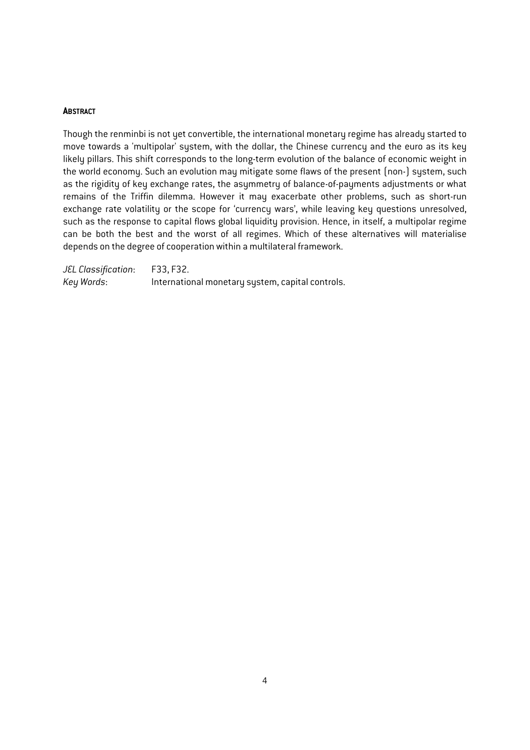#### **ABSTRACT**

Though the renminbi is not yet convertible, the international monetary regime has already started to move towards a 'multipolar' system, with the dollar, the Chinese currency and the euro as its key likely pillars. This shift corresponds to the long-term evolution of the balance of economic weight in the world economy. Such an evolution may mitigate some flaws of the present (non-) system, such as the rigidity of key exchange rates, the asymmetry of balance-of-payments adjustments or what remains of the Triffin dilemma. However it may exacerbate other problems, such as short-run exchange rate volatility or the scope for 'currency wars', while leaving key questions unresolved, such as the response to capital flows global liquidity provision. Hence, in itself, a multipolar regime can be both the best and the worst of all regimes. Which of these alternatives will materialise depends on the degree of cooperation within a multilateral framework.

*JEL Classification*: F33, F32. *Key Words*: International monetary system, capital controls.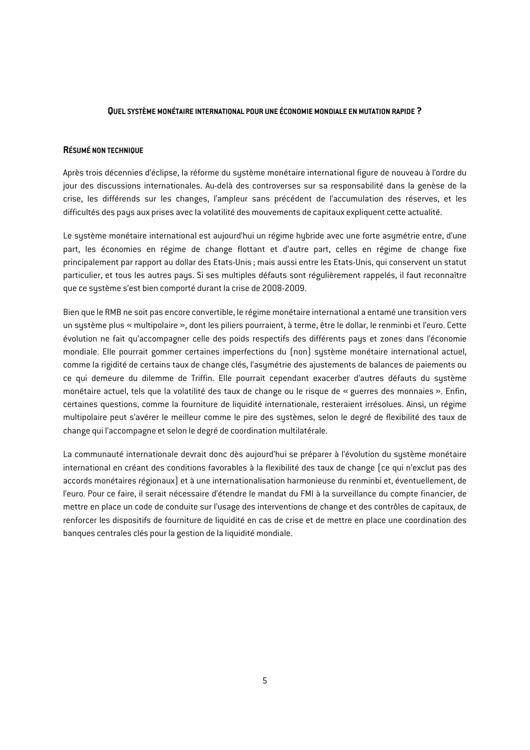#### **QUEL SYSTÈME MONÉTAIRE INTERNATIONAL POUR UNE ÉCONOMIE MONDIALE EN MUTATION RAPIDE ?**

#### **RÉSUMÉ NON TECHNIQUE**

Après trois décennies d'éclipse, la réforme du système monétaire international figure de nouveau à l'ordre du jour des discussions internationales. Au-delà des controverses sur sa responsabilité dans la genèse de la crise, les différends sur les changes, l'ampleur sans précédent de l'accumulation des réserves, et les difficultés des pays aux prises avec la volatilité des mouvements de capitaux expliquent cette actualité.

Le système monétaire international est aujourd'hui un régime hybride avec une forte asymétrie entre, d'une part, les économies en régime de change flottant et d'autre part, celles en régime de change fixe principalement par rapport au dollar des Etats-Unis ; mais aussi entre les Etats-Unis, qui conservent un statut particulier, et tous les autres pays. Si ses multiples défauts sont régulièrement rappelés, il faut reconnaître que ce sustème s'est bien comporté durant la crise de 2008-2009.

Bien que le RMB ne soit pas encore convertible, le régime monétaire international a entamé une transition vers un système plus « multipolaire », dont les piliers pourraient, à terme, être le dollar, le renminbi et l'euro. Cette évolution ne fait qu'accompagner celle des poids respectifs des différents pays et zones dans l'économie mondiale. Elle pourrait gommer certaines imperfections du (non) système monétaire international actuel, comme la rigidité de certains taux de change clés, l'asymétrie des ajustements de balances de paiements ou ce qui demeure du dilemme de Triffin. Elle pourrait cependant exacerber d'autres défauts du système monétaire actuel, tels que la volatilité des taux de change ou le risque de « guerres des monnaies ». Enfin, certaines questions, comme la fourniture de liquidité internationale, resteraient irrésolues. Ainsi, un régime multipolaire peut s'avérer le meilleur comme le pire des systèmes, selon le degré de flexibilité des taux de change qui l'accompagne et selon le degré de coordination multilatérale.

La communauté internationale devrait donc dès aujourd'hui se préparer à l'évolution du système monétaire international en créant des conditions favorables à la flexibilité des taux de change (ce qui n'exclut pas des accords monétaires régionaux) et à une internationalisation harmonieuse du renminbi et, éventuellement, de l'euro. Pour ce faire, il serait nécessaire d'étendre le mandat du FMI à la surveillance du compte financier, de mettre en place un code de conduite sur l'usage des interventions de change et des contrôles de capitaux, de renforcer les dispositifs de fourniture de liquidité en cas de crise et de mettre en place une coordination des banques centrales clés pour la gestion de la liquidité mondiale.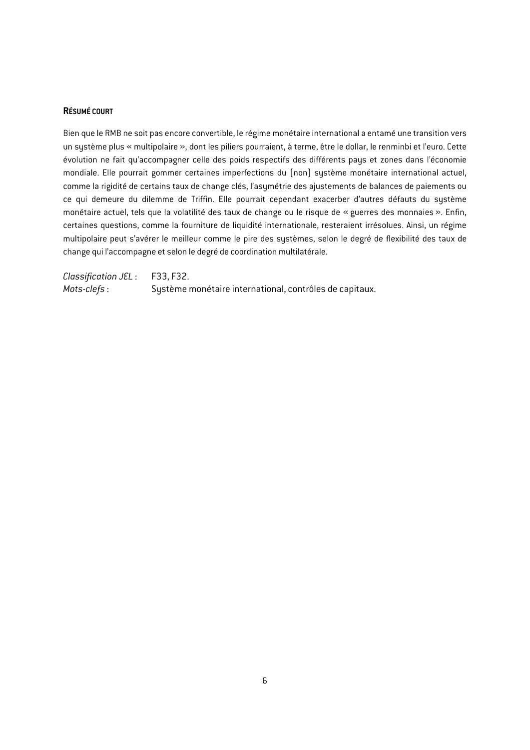#### **RÉSUMÉ COURT**

Bien que le RMB ne soit pas encore convertible, le régime monétaire international a entamé une transition vers un système plus « multipolaire », dont les piliers pourraient, à terme, être le dollar, le renminbi et l'euro. Cette évolution ne fait qu'accompagner celle des poids respectifs des différents pays et zones dans l'économie mondiale. Elle pourrait gommer certaines imperfections du (non) système monétaire international actuel, comme la rigidité de certains taux de change clés, l'asymétrie des ajustements de balances de paiements ou ce qui demeure du dilemme de Triffin. Elle pourrait cependant exacerber d'autres défauts du système monétaire actuel, tels que la volatilité des taux de change ou le risque de « guerres des monnaies ». Enfin, certaines questions, comme la fourniture de liquidité internationale, resteraient irrésolues. Ainsi, un régime multipolaire peut s'avérer le meilleur comme le pire des systèmes, selon le degré de flexibilité des taux de change qui l'accompagne et selon le degré de coordination multilatérale.

*Classification JEL* : F33, F32. *Mots-clefs* : Système monétaire international, contrôles de capitaux.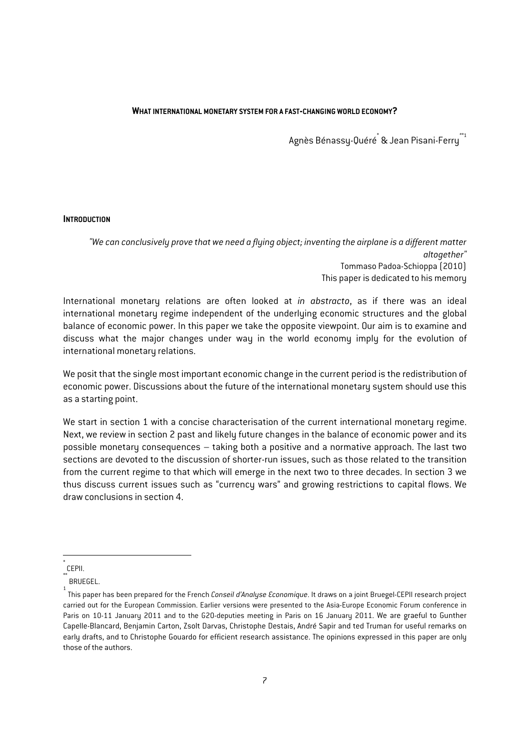#### **WHAT INTERNATIONAL MONETARY SYSTEM FOR A FAST-CHANGING WORLD ECONOMY?**

Agnès Bénassy-Quéré\* & Jean Pisani-Ferry*\*\**<sup>1</sup>

#### **INTRODUCTION**

*"We can conclusively prove that we need a flying object; inventing the airplane is a different matter altogether"*  Tommaso Padoa-Schioppa (2010) This paper is dedicated to his memory

International monetary relations are often looked at *in abstracto*, as if there was an ideal international monetary regime independent of the underlying economic structures and the global balance of economic power. In this paper we take the opposite viewpoint. Our aim is to examine and discuss what the major changes under way in the world economy imply for the evolution of international monetary relations.

We posit that the single most important economic change in the current period is the redistribution of economic power. Discussions about the future of the international monetary system should use this as a starting point.

We start in section 1 with a concise characterisation of the current international monetary regime. Next, we review in section 2 past and likely future changes in the balance of economic power and its possible monetary consequences – taking both a positive and a normative approach. The last two sections are devoted to the discussion of shorter-run issues, such as those related to the transition from the current regime to that which will emerge in the next two to three decades. In section 3 we thus discuss current issues such as "currency wars" and growing restrictions to capital flows. We draw conclusions in section 4.

1

<sup>\*</sup> CEPII.

<sup>\*\*</sup> BRUEGEL.

<sup>1</sup> This paper has been prepared for the French *Conseil d'Analyse Economique*. It draws on a joint Bruegel-CEPII research project carried out for the European Commission. Earlier versions were presented to the Asia-Europe Economic Forum conference in Paris on 10-11 January 2011 and to the G20-deputies meeting in Paris on 16 January 2011. We are graeful to Gunther Capelle-Blancard, Benjamin Carton, Zsolt Darvas, Christophe Destais, André Sapir and ted Truman for useful remarks on early drafts, and to Christophe Gouardo for efficient research assistance. The opinions expressed in this paper are only those of the authors.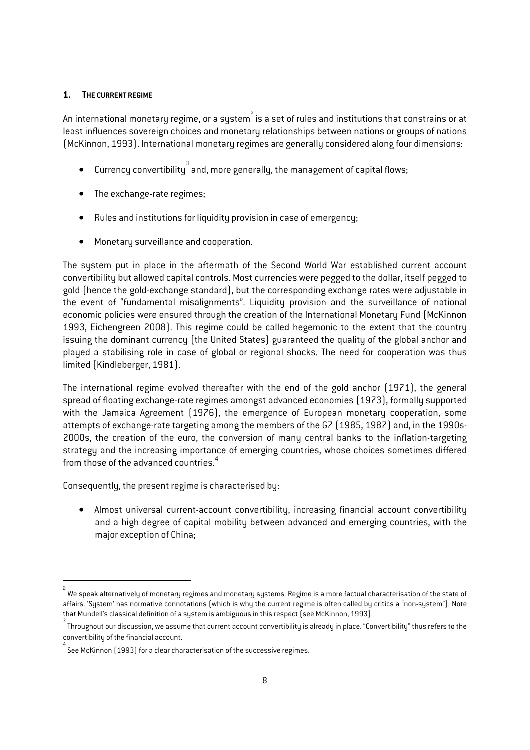#### **1. THE CURRENT REGIME**

An international monetary regime, or a system $^{\hat{}}$  is a set of rules and institutions that constrains or at least influences sovereign choices and monetary relationships between nations or groups of nations (McKinnon, 1993). International monetary regimes are generally considered along four dimensions:

- $\bullet$  Currency convertibility  $^3$  and, more generally, the management of capital flows;
- The exchange-rate regimes;
- Rules and institutions for liquidity provision in case of emergency;
- Monetary surveillance and cooperation.

The system put in place in the aftermath of the Second World War established current account convertibility but allowed capital controls. Most currencies were pegged to the dollar, itself pegged to gold (hence the gold-exchange standard), but the corresponding exchange rates were adjustable in the event of "fundamental misalignments". Liquidity provision and the surveillance of national economic policies were ensured through the creation of the International Monetary Fund (McKinnon 1993, Eichengreen 2008). This regime could be called hegemonic to the extent that the country issuing the dominant currency (the United States) guaranteed the quality of the global anchor and played a stabilising role in case of global or regional shocks. The need for cooperation was thus limited (Kindleberger, 1981).

The international regime evolved thereafter with the end of the gold anchor (1971), the general spread of floating exchange-rate regimes amongst advanced economies (1973), formally supported with the Jamaica Agreement (1976), the emergence of European monetary cooperation, some attempts of exchange-rate targeting among the members of the G7 (1985, 1987) and, in the 1990s-2000s, the creation of the euro, the conversion of many central banks to the inflation-targeting strategy and the increasing importance of emerging countries, whose choices sometimes differed from those of the advanced countries.<sup>4</sup>

Consequently, the present regime is characterised by:

1

• Almost universal current-account convertibility, increasing financial account convertibility and a high degree of capital mobility between advanced and emerging countries, with the major exception of China;

<sup>2</sup> We speak alternatively of monetary regimes and monetary systems. Regime is a more factual characterisation of the state of affairs. 'System' has normative connotations (which is why the current regime is often called by critics a "non-system"). Note that Mundell's classical definition of a system is ambiguous in this respect (see McKinnon, 1993).

Throughout our discussion, we assume that current account convertibility is already in place. "Convertibility" thus refers to the convertibility of the financial account. 4

See McKinnon (1993) for a clear characterisation of the successive regimes.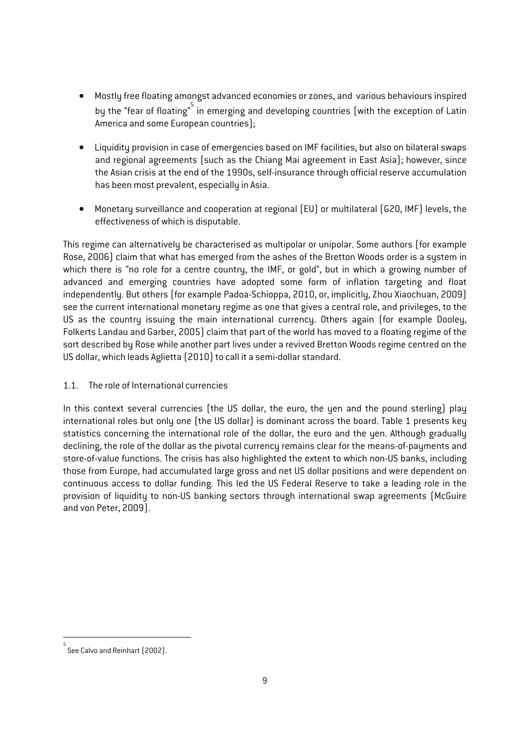- Mostly free floating amongst advanced economies or zones, and various behaviours inspired by the "fear of floating" in emerging and developing countries (with the exception of Latin America and some European countries);
- Liquidity provision in case of emergencies based on IMF facilities, but also on bilateral swaps and regional agreements (such as the Chiang Mai agreement in East Asia); however, since the Asian crisis at the end of the 1990s, self-insurance through official reserve accumulation has been most prevalent, especially in Asia.
- Monetary surveillance and cooperation at regional (EU) or multilateral (G20, IMF) levels, the effectiveness of which is disputable.

This regime can alternatively be characterised as multipolar or unipolar. Some authors (for example Rose, 2006) claim that what has emerged from the ashes of the Bretton Woods order is a system in which there is "no role for a centre country, the IMF, or gold", but in which a growing number of advanced and emerging countries have adopted some form of inflation targeting and float independently. But others (for example Padoa-Schioppa, 2010, or, implicitly, Zhou Xiaochuan, 2009) see the current international monetary regime as one that gives a central role, and privileges, to the US as the country issuing the main international currency. Others again (for example Dooley, Folkerts Landau and Garber, 2005) claim that part of the world has moved to a floating regime of the sort described by Rose while another part lives under a revived Bretton Woods regime centred on the US dollar, which leads Aglietta (2010) to call it a semi-dollar standard.

## 1.1. The role of International currencies

In this context several currencies (the US dollar, the euro, the yen and the pound sterling) play international roles but only one (the US dollar) is dominant across the board. Table 1 presents key statistics concerning the international role of the dollar, the euro and the yen. Although gradually declining, the role of the dollar as the pivotal currency remains clear for the means-of-payments and store-of-value functions. The crisis has also highlighted the extent to which non-US banks, including those from Europe, had accumulated large gross and net US dollar positions and were dependent on continuous access to dollar funding. This led the US Federal Reserve to take a leading role in the provision of liquidity to non-US banking sectors through international swap agreements (McGuire and von Peter, 2009).

1

<sup>5</sup> See Calvo and Reinhart (2002).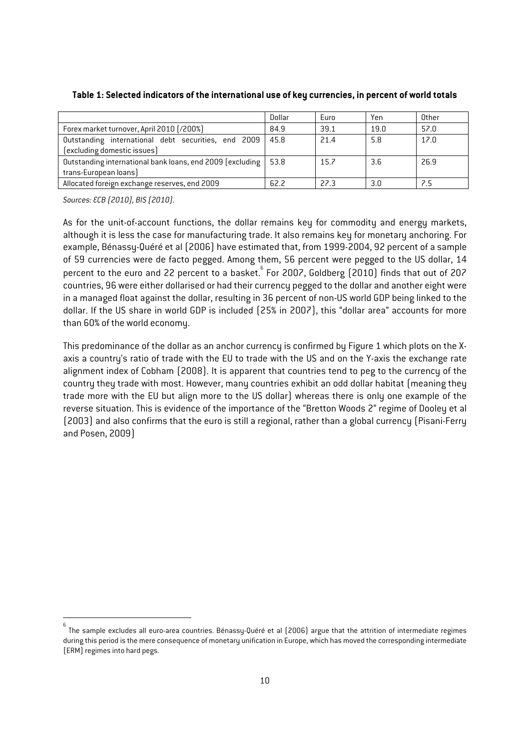|                                                           | Dollar | Euro | Yen  | Other |
|-----------------------------------------------------------|--------|------|------|-------|
| Forex market turnover, April 2010 [/200%]                 | 84.9   | 39.1 | 19.0 | 57.0  |
| Outstanding international debt securities, end 2009       | 45.8   | 21.4 | 5.8  | 17.0  |
| (excluding domestic issues)                               |        |      |      |       |
| Outstanding international bank loans, end 2009 (excluding | 53.8   | 15.7 | 3.6  | 26.9  |
| trans-European loans)                                     |        |      |      |       |
| Allocated foreign exchange reserves, end 2009             | 62.2   | 22.3 | 3.0  | 7.5   |

#### **Table 1: Selected indicators of the international use of key currencies, in percent of world totals**

*Sources: ECB (2010), BIS (2010).* 

1

As for the unit-of-account functions, the dollar remains key for commodity and energy markets, although it is less the case for manufacturing trade. It also remains key for monetary anchoring. For example, Bénassy-Quéré et al (2006) have estimated that, from 1999-2004, 92 percent of a sample of 59 currencies were de facto pegged. Among them, 56 percent were pegged to the US dollar, 14 percent to the euro and 22 percent to a basket.  $6$  For 2007, Goldberg (2010) finds that out of 207 countries, 96 were either dollarised or had their currency pegged to the dollar and another eight were in a managed float against the dollar, resulting in 36 percent of non-US world GDP being linked to the dollar. If the US share in world GDP is included (25% in 2007), this "dollar area" accounts for more than 60% of the world economy.

This predominance of the dollar as an anchor currency is confirmed by Figure 1 which plots on the Xaxis a country's ratio of trade with the EU to trade with the US and on the Y-axis the exchange rate alignment index of Cobham (2008). It is apparent that countries tend to peg to the currency of the country they trade with most. However, many countries exhibit an odd dollar habitat (meaning they trade more with the EU but align more to the US dollar) whereas there is only one example of the reverse situation. This is evidence of the importance of the "Bretton Woods 2" regime of Dooley et al (2003) and also confirms that the euro is still a regional, rather than a global currency (Pisani-Ferry and Posen, 2009)

<sup>6</sup> The sample excludes all euro-area countries. Bénassy-Quéré et al (2006) argue that the attrition of intermediate regimes during this period is the mere consequence of monetary unification in Europe, which has moved the corresponding intermediate (ERM) regimes into hard pegs.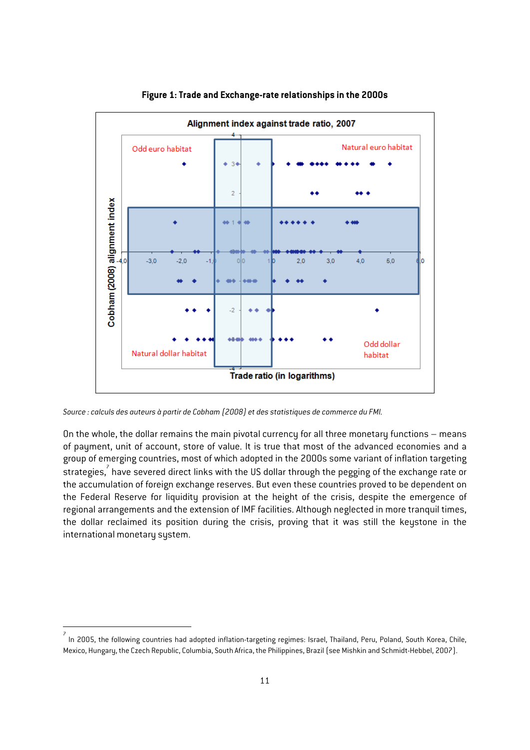

**Figure 1: Trade and Exchange-rate relationships in the 2000s** 

*Source : calculs des auteurs à partir de Cobham (2008) et des statistiques de commerce du FMI.*

1

On the whole, the dollar remains the main pivotal currency for all three monetary functions – means of payment, unit of account, store of value. It is true that most of the advanced economies and a group of emerging countries, most of which adopted in the 2000s some variant of inflation targeting strategies, have severed direct links with the US dollar through the pegging of the exchange rate or the accumulation of foreign exchange reserves. But even these countries proved to be dependent on the Federal Reserve for liquidity provision at the height of the crisis, despite the emergence of regional arrangements and the extension of IMF facilities. Although neglected in more tranquil times, the dollar reclaimed its position during the crisis, proving that it was still the keystone in the international monetary system.

<sup>7</sup> In 2005, the following countries had adopted inflation-targeting regimes: Israel, Thailand, Peru, Poland, South Korea, Chile, Mexico, Hungary, the Czech Republic, Columbia, South Africa, the Philippines, Brazil (see Mishkin and Schmidt-Hebbel, 2007).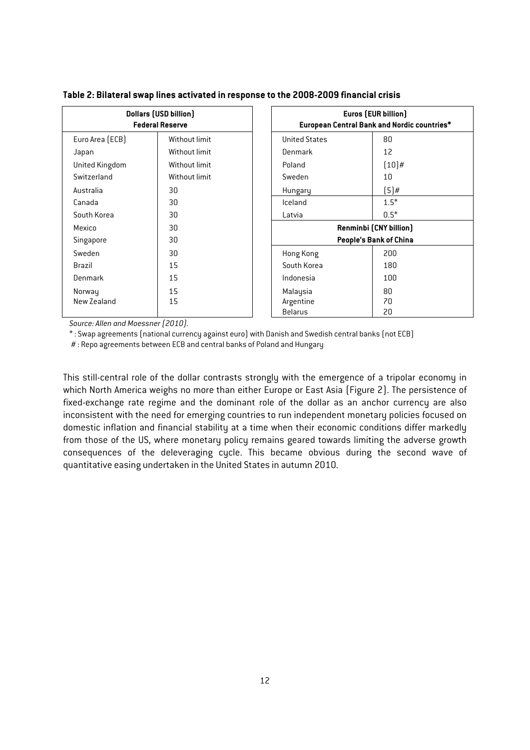| <b>Dollars (USD billion)</b><br><b>Federal Reserve</b> |               | Euros (EUR billion)<br>European Central Bank and Nordic countries* |                        |
|--------------------------------------------------------|---------------|--------------------------------------------------------------------|------------------------|
| Euro Area (ECB)                                        | Without limit | <b>United States</b>                                               | 80                     |
| Japan                                                  | Without limit | Denmark                                                            | 12                     |
| United Kingdom                                         | Without limit | Poland                                                             | $(10)$ #               |
| Switzerland                                            | Without limit | Sweden                                                             | 10                     |
| Australia                                              | 30            | Hungary                                                            | $(5)$ #                |
| Canada                                                 | 30            | Iceland                                                            | $1.5*$                 |
| South Korea                                            | 30            | Latvia                                                             | $0.5*$                 |
| Mexico                                                 | 30            |                                                                    | Renminbi (CNY billion) |
| Singapore                                              | 30            | People's Bank of China                                             |                        |
| Sweden                                                 | 30            | Hong Kong                                                          | 200                    |
| Brazil                                                 | 15            | South Korea                                                        | 180                    |
| Denmark                                                | 15            | Indonesia                                                          | 100                    |
| Norway                                                 | 15            | Malaysia                                                           | 80                     |
| New Zealand                                            | 15            | Argentine                                                          | 70                     |
|                                                        |               | <b>Belarus</b>                                                     | 20                     |

**Table 2: Bilateral swap lines activated in response to the 2008-2009 financial crisis** 

*Source: Allen and Moessner (2010).* 

\* : Swap agreements (national currency against euro) with Danish and Swedish central banks (not ECB)

# : Repo agreements between ECB and central banks of Poland and Hungary

This still-central role of the dollar contrasts strongly with the emergence of a tripolar economy in which North America weighs no more than either Europe or East Asia (Figure 2). The persistence of fixed-exchange rate regime and the dominant role of the dollar as an anchor currency are also inconsistent with the need for emerging countries to run independent monetary policies focused on domestic inflation and financial stability at a time when their economic conditions differ markedly from those of the US, where monetary policy remains geared towards limiting the adverse growth consequences of the deleveraging cycle. This became obvious during the second wave of quantitative easing undertaken in the United States in autumn 2010.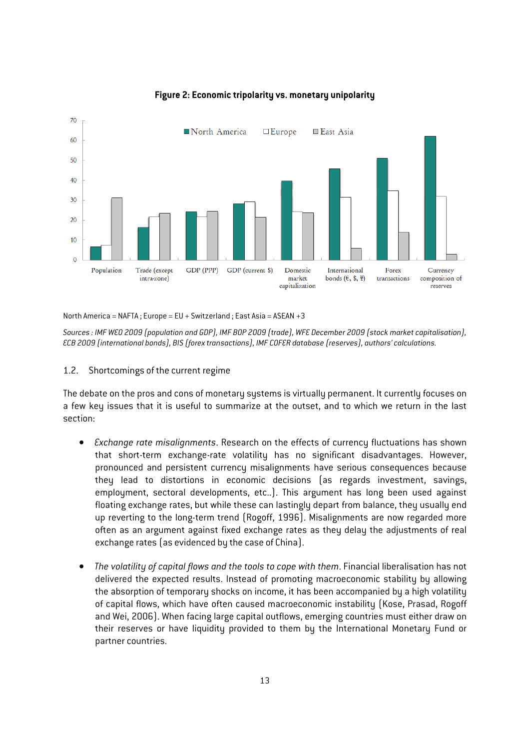

#### **Figure 2: Economic tripolarity vs. monetary unipolarity**

North America = NAFTA ; Europe = EU + Switzerland ; East Asia = ASEAN +3

*Sources : IMF WEO 2009 (population and GDP), IMF BOP 2009 (trade), WFE December 2009 (stock market capitalisation), ECB 2009 (international bonds), BIS (forex transactions), IMF COFER database (reserves), authors' calculations.* 

#### 1.2. Shortcomings of the current regime

The debate on the pros and cons of monetary systems is virtually permanent. It currently focuses on a few key issues that it is useful to summarize at the outset, and to which we return in the last section:

- *Exchange rate misalignments*. Research on the effects of currency fluctuations has shown that short-term exchange-rate volatility has no significant disadvantages. However, pronounced and persistent currency misalignments have serious consequences because they lead to distortions in economic decisions (as regards investment, savings, employment, sectoral developments, etc..). This argument has long been used against floating exchange rates, but while these can lastingly depart from balance, they usually end up reverting to the long-term trend (Rogoff, 1996). Misalignments are now regarded more often as an argument against fixed exchange rates as they delay the adjustments of real exchange rates (as evidenced by the case of China).
- *The volatility of capital flows and the tools to cope with them*. Financial liberalisation has not delivered the expected results. Instead of promoting macroeconomic stability by allowing the absorption of temporary shocks on income, it has been accompanied by a high volatility of capital flows, which have often caused macroeconomic instability (Kose, Prasad, Rogoff and Wei, 2006). When facing large capital outflows, emerging countries must either draw on their reserves or have liquidity provided to them by the International Monetary Fund or partner countries.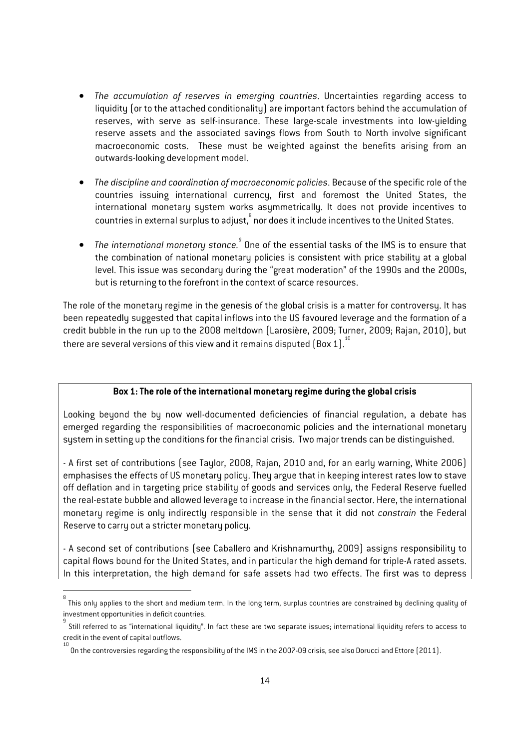- *The accumulation of reserves in emerging countries*. Uncertainties regarding access to liquidity (or to the attached conditionality) are important factors behind the accumulation of reserves, with serve as self-insurance. These large-scale investments into low-yielding reserve assets and the associated savings flows from South to North involve significant macroeconomic costs. These must be weighted against the benefits arising from an outwards-looking development model.
- *The discipline and coordination of macroeconomic policies*. Because of the specific role of the countries issuing international currency, first and foremost the United States, the international monetary system works asymmetrically. It does not provide incentives to countries in external surplus to adjust, nor does it include incentives to the United States.
- $\bullet$  The international monetary stance. $^\circ$  One of the essential tasks of the IMS is to ensure that the combination of national monetary policies is consistent with price stability at a global level. This issue was secondary during the "great moderation" of the 1990s and the 2000s, but is returning to the forefront in the context of scarce resources.

The role of the monetary regime in the genesis of the global crisis is a matter for controversy. It has been repeatedly suggested that capital inflows into the US favoured leverage and the formation of a credit bubble in the run up to the 2008 meltdown (Larosière, 2009; Turner, 2009; Rajan, 2010), but there are several versions of this view and it remains disputed  $(Box 1)^{10}$ 

#### **Box 1: The role of the international monetary regime during the global crisis**

Looking beyond the by now well-documented deficiencies of financial regulation, a debate has emerged regarding the responsibilities of macroeconomic policies and the international monetary system in setting up the conditions for the financial crisis. Two major trends can be distinguished.

- A first set of contributions (see Taylor, 2008, Rajan, 2010 and, for an early warning, White 2006) emphasises the effects of US monetary policy. They argue that in keeping interest rates low to stave off deflation and in targeting price stability of goods and services only, the Federal Reserve fuelled the real-estate bubble and allowed leverage to increase in the financial sector. Here, the international monetary regime is only indirectly responsible in the sense that it did not *constrain* the Federal Reserve to carry out a stricter monetary policy.

- A second set of contributions (see Caballero and Krishnamurthy, 2009) assigns responsibility to capital flows bound for the United States, and in particular the high demand for triple-A rated assets. In this interpretation, the high demand for safe assets had two effects. The first was to depress

1

<sup>&</sup>lt;sup>8</sup><br>This only applies to the short and medium term. In the long term, surplus countries are constrained by declining quality of investment opportunities in deficit countries.

<sup>9</sup> Still referred to as "international liquidity". In fact these are two separate issues; international liquidity refers to access to credit in the event of capital outflows.

<sup>10</sup> On the controversies regarding the responsibility of the IMS in the 2007-09 crisis, see also Dorucci and Ettore (2011).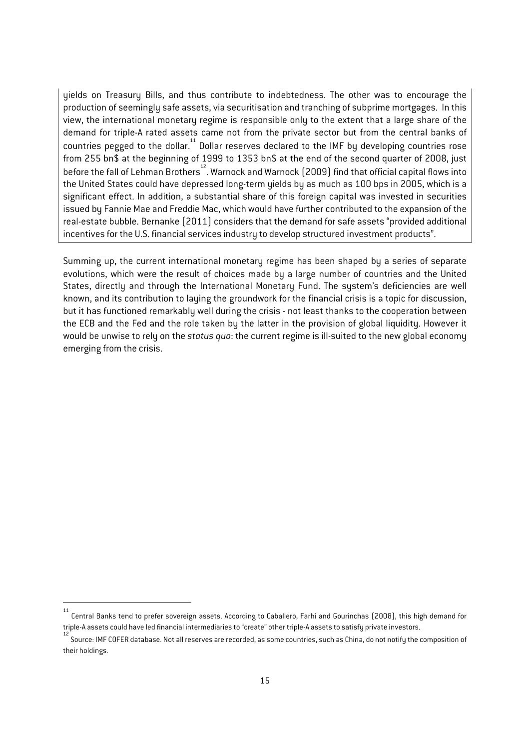yields on Treasury Bills, and thus contribute to indebtedness. The other was to encourage the production of seemingly safe assets, via securitisation and tranching of subprime mortgages. In this view, the international monetary regime is responsible only to the extent that a large share of the demand for triple-A rated assets came not from the private sector but from the central banks of countries pegged to the dollar.<sup>11</sup> Dollar reserves declared to the IMF by developing countries rose from 255 bn\$ at the beginning of 1999 to 1353 bn\$ at the end of the second quarter of 2008, just before the fall of Lehman Brothers<sup>12</sup>. Warnock and Warnock (2009) find that official capital flows into the United States could have depressed long-term yields by as much as 100 bps in 2005, which is a significant effect. In addition, a substantial share of this foreign capital was invested in securities issued by Fannie Mae and Freddie Mac, which would have further contributed to the expansion of the real-estate bubble. Bernanke (2011) considers that the demand for safe assets "provided additional incentives for the U.S. financial services industry to develop structured investment products".

Summing up, the current international monetary regime has been shaped by a series of separate evolutions, which were the result of choices made by a large number of countries and the United States, directly and through the International Monetary Fund. The system's deficiencies are well known, and its contribution to laying the groundwork for the financial crisis is a topic for discussion, but it has functioned remarkably well during the crisis - not least thanks to the cooperation between the ECB and the Fed and the role taken by the latter in the provision of global liquidity. However it would be unwise to rely on the *status quo*: the current regime is ill-suited to the new global economy emerging from the crisis.

1

<sup>11</sup> Central Banks tend to prefer sovereign assets. According to Caballero, Farhi and Gourinchas (2008), this high demand for triple-A assets could have led financial intermediaries to "create" other triple-A assets to satisfy private investors. 12

<sup>.&</sup>lt;br>Source: IMF COFER database. Not all reserves are recorded, as some countries, such as China, do not notify the composition of their holdings.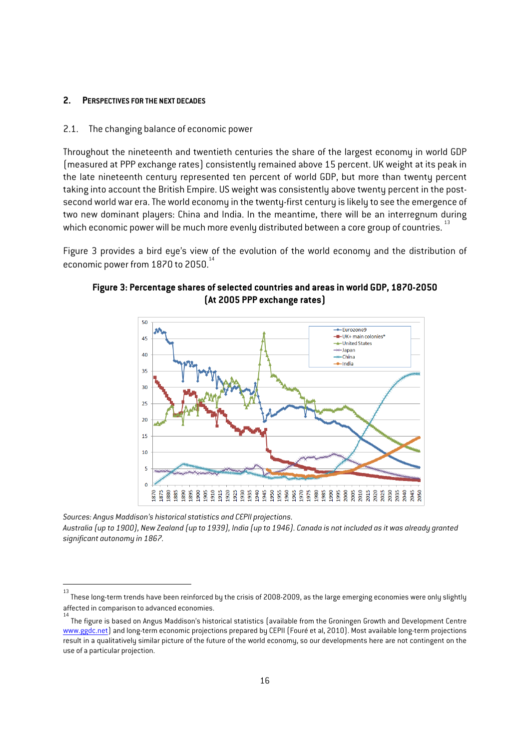#### **2. PERSPECTIVES FOR THE NEXT DECADES**

#### 2.1. The changing balance of economic power

Throughout the nineteenth and twentieth centuries the share of the largest economy in world GDP (measured at PPP exchange rates) consistently remained above 15 percent. UK weight at its peak in the late nineteenth century represented ten percent of world GDP, but more than twenty percent taking into account the British Empire. US weight was consistently above twenty percent in the postsecond world war era. The world economy in the twenty-first century is likely to see the emergence of two new dominant players: China and India. In the meantime, there will be an interregnum during which economic power will be much more evenly distributed between a core group of countries.<sup>13</sup>

Figure 3 provides a bird eye's view of the evolution of the world economy and the distribution of economic power from 1870 to 2050.<sup>14</sup>



**Figure 3: Percentage shares of selected countries and areas in world GDP, 1870-2050 (At 2005 PPP exchange rates)** 

*Sources: Angus Maddison's historical statistics and CEPII projections. Australia (up to 1900), New Zealand (up to 1939), India (up to 1946). Canada is not included as it was already granted significant autonomy in 1867.* 

 $\frac{1}{13}$  These long-term trends have been reinforced by the crisis of 2008-2009, as the large emerging economies were only slightly affected in comparison to advanced economies.

<sup>14</sup> The figure is based on Angus Maddison's historical statistics (available from the Groningen Growth and Development Centre www.ggdc.net) and long-term economic projections prepared by CEPII (Fouré et al, 2010). Most available long-term projections result in a qualitatively similar picture of the future of the world economy, so our developments here are not contingent on the use of a particular projection.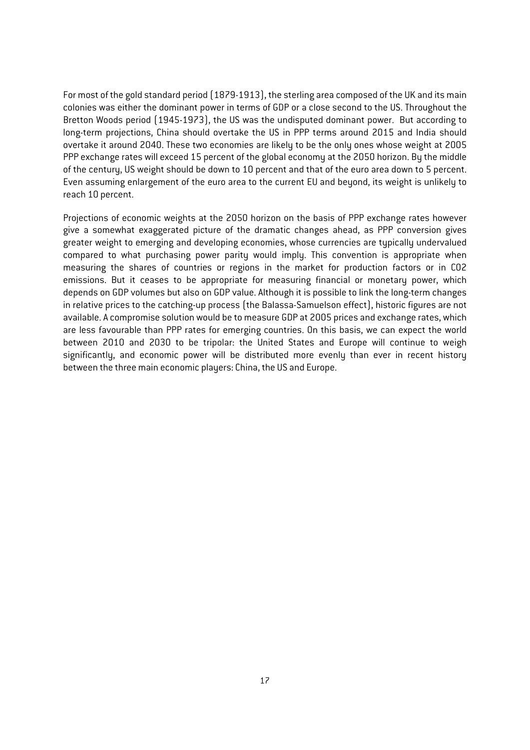For most of the gold standard period (1879-1913), the sterling area composed of the UK and its main colonies was either the dominant power in terms of GDP or a close second to the US. Throughout the Bretton Woods period (1945-1973), the US was the undisputed dominant power. But according to long-term projections, China should overtake the US in PPP terms around 2015 and India should overtake it around 2040. These two economies are likely to be the only ones whose weight at 2005 PPP exchange rates will exceed 15 percent of the global economy at the 2050 horizon. By the middle of the century, US weight should be down to 10 percent and that of the euro area down to 5 percent. Even assuming enlargement of the euro area to the current EU and beyond, its weight is unlikely to reach 10 percent.

Projections of economic weights at the 2050 horizon on the basis of PPP exchange rates however give a somewhat exaggerated picture of the dramatic changes ahead, as PPP conversion gives greater weight to emerging and developing economies, whose currencies are typically undervalued compared to what purchasing power parity would imply. This convention is appropriate when measuring the shares of countries or regions in the market for production factors or in CO2 emissions. But it ceases to be appropriate for measuring financial or monetary power, which depends on GDP volumes but also on GDP value. Although it is possible to link the long-term changes in relative prices to the catching-up process (the Balassa-Samuelson effect), historic figures are not available. A compromise solution would be to measure GDP at 2005 prices and exchange rates, which are less favourable than PPP rates for emerging countries. On this basis, we can expect the world between 2010 and 2030 to be tripolar: the United States and Europe will continue to weigh significantly, and economic power will be distributed more evenly than ever in recent history between the three main economic players: China, the US and Europe.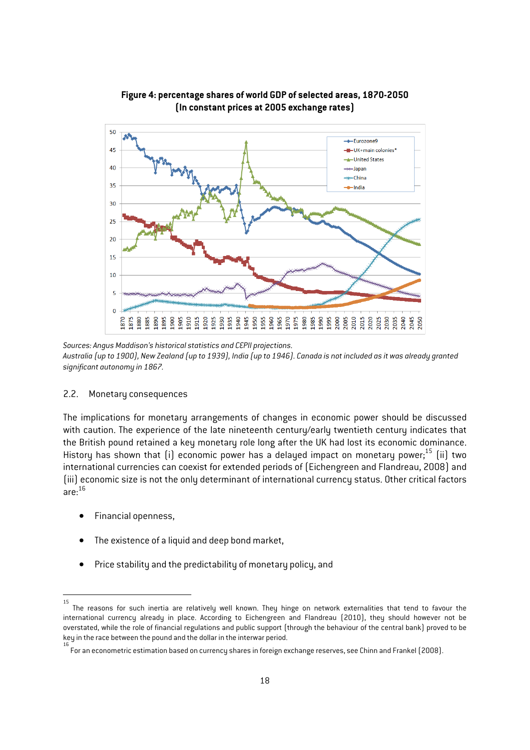

**Figure 4: percentage shares of world GDP of selected areas, 1870-2050 (In constant prices at 2005 exchange rates)** 

*Sources: Angus Maddison's historical statistics and CEPII projections. Australia (up to 1900), New Zealand (up to 1939), India (up to 1946). Canada is not included as it was already granted significant autonomy in 1867.* 

#### 2.2. Monetary consequences

The implications for monetary arrangements of changes in economic power should be discussed with caution. The experience of the late nineteenth century/early twentieth century indicates that the British pound retained a key monetary role long after the UK had lost its economic dominance. History has shown that (i) economic power has a delayed impact on monetary power;<sup>15</sup> (ii) two international currencies can coexist for extended periods of (Eichengreen and Flandreau, 2008) and (iii) economic size is not the only determinant of international currency status. Other critical factors are: 16

- Financial openness,
- The existence of a liquid and deep bond market,
- Price stability and the predictability of monetary policy, and

 $\frac{1}{15}$  The reasons for such inertia are relatively well known. They hinge on network externalities that tend to favour the international currency already in place. According to Eichengreen and Flandreau (2010), they should however not be overstated, while the role of financial regulations and public support (through the behaviour of the central bank) proved to be key in the race between the pound and the dollar in the interwar period.

For an econometric estimation based on currency shares in foreign exchange reserves, see Chinn and Frankel (2008).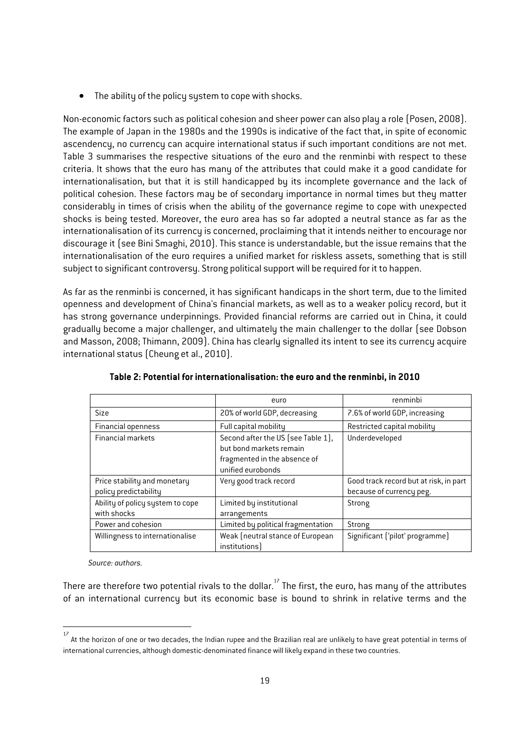• The ability of the policy system to cope with shocks.

Non-economic factors such as political cohesion and sheer power can also play a role (Posen, 2008). The example of Japan in the 1980s and the 1990s is indicative of the fact that, in spite of economic ascendency, no currency can acquire international status if such important conditions are not met. Table 3 summarises the respective situations of the euro and the renminbi with respect to these criteria. It shows that the euro has many of the attributes that could make it a good candidate for internationalisation, but that it is still handicapped by its incomplete governance and the lack of political cohesion. These factors may be of secondary importance in normal times but they matter considerably in times of crisis when the ability of the governance regime to cope with unexpected shocks is being tested. Moreover, the euro area has so far adopted a neutral stance as far as the internationalisation of its currency is concerned, proclaiming that it intends neither to encourage nor discourage it (see Bini Smaghi, 2010). This stance is understandable, but the issue remains that the internationalisation of the euro requires a unified market for riskless assets, something that is still subject to significant controversy. Strong political support will be required for it to happen.

As far as the renminbi is concerned, it has significant handicaps in the short term, due to the limited openness and development of China's financial markets, as well as to a weaker policy record, but it has strong governance underpinnings. Provided financial reforms are carried out in China, it could gradually become a major challenger, and ultimately the main challenger to the dollar (see Dobson and Masson, 2008; Thimann, 2009). China has clearly signalled its intent to see its currency acquire international status (Cheung et al., 2010).

|                                                       | euro                                                                                                               | renminbi                                                           |
|-------------------------------------------------------|--------------------------------------------------------------------------------------------------------------------|--------------------------------------------------------------------|
| <b>Size</b>                                           | 20% of world GDP, decreasing                                                                                       | 7.6% of world GDP, increasing                                      |
| <b>Financial openness</b>                             | Full capital mobility                                                                                              | Restricted capital mobility                                        |
| <b>Financial markets</b>                              | Second after the US (see Table 1),<br>but bond markets remain<br>fragmented in the absence of<br>unified eurobonds | Underdeveloped                                                     |
| Price stability and monetary<br>policy predictability | Very good track record                                                                                             | Good track record but at risk, in part<br>because of currency peg. |
| Ability of policy system to cope<br>with shocks       | Limited by institutional<br>arrangements                                                                           | Strong                                                             |
| Power and cohesion                                    | Limited by political fragmentation                                                                                 | Strong                                                             |
| Willingness to internationalise                       | Weak (neutral stance of European<br>institutions                                                                   | Significant ('pilot' programme)                                    |

**Table 2: Potential for internationalisation: the euro and the renminbi, in 2010** 

*Source: authors.* 

1

There are therefore two potential rivals to the dollar.<sup>17</sup> The first, the euro, has many of the attributes of an international currency but its economic base is bound to shrink in relative terms and the

<sup>17</sup> At the horizon of one or two decades, the Indian rupee and the Brazilian real are unlikely to have great potential in terms of international currencies, although domestic-denominated finance will likely expand in these two countries.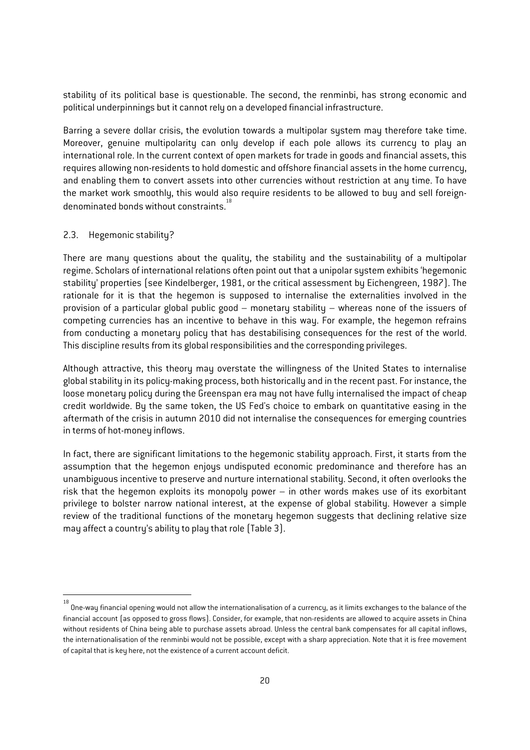stability of its political base is questionable. The second, the renminbi, has strong economic and political underpinnings but it cannot rely on a developed financial infrastructure.

Barring a severe dollar crisis, the evolution towards a multipolar system may therefore take time. Moreover, genuine multipolarity can only develop if each pole allows its currency to play an international role. In the current context of open markets for trade in goods and financial assets, this requires allowing non-residents to hold domestic and offshore financial assets in the home currency, and enabling them to convert assets into other currencies without restriction at any time. To have the market work smoothly, this would also require residents to be allowed to buy and sell foreigndenominated bonds without constraints.<sup>18</sup>

#### 2.3. Hegemonic stability?

There are many questions about the quality, the stability and the sustainability of a multipolar regime. Scholars of international relations often point out that a unipolar system exhibits 'hegemonic stability' properties (see Kindelberger, 1981, or the critical assessment by Eichengreen, 1987). The rationale for it is that the hegemon is supposed to internalise the externalities involved in the provision of a particular global public good – monetary stability – whereas none of the issuers of competing currencies has an incentive to behave in this way. For example, the hegemon refrains from conducting a monetary policy that has destabilising consequences for the rest of the world. This discipline results from its global responsibilities and the corresponding privileges.

Although attractive, this theory may overstate the willingness of the United States to internalise global stability in its policy-making process, both historically and in the recent past. For instance, the loose monetary policy during the Greenspan era may not have fully internalised the impact of cheap credit worldwide. By the same token, the US Fed's choice to embark on quantitative easing in the aftermath of the crisis in autumn 2010 did not internalise the consequences for emerging countries in terms of hot-money inflows.

In fact, there are significant limitations to the hegemonic stability approach. First, it starts from the assumption that the hegemon enjoys undisputed economic predominance and therefore has an unambiguous incentive to preserve and nurture international stability. Second, it often overlooks the risk that the hegemon exploits its monopoly power – in other words makes use of its exorbitant privilege to bolster narrow national interest, at the expense of global stability. However a simple review of the traditional functions of the monetary hegemon suggests that declining relative size may affect a country's ability to play that role (Table 3).

 18 One-way financial opening would not allow the internationalisation of a currency, as it limits exchanges to the balance of the financial account (as opposed to gross flows). Consider, for example, that non-residents are allowed to acquire assets in China without residents of China being able to purchase assets abroad. Unless the central bank compensates for all capital inflows, the internationalisation of the renminbi would not be possible, except with a sharp appreciation. Note that it is free movement of capital that is key here, not the existence of a current account deficit.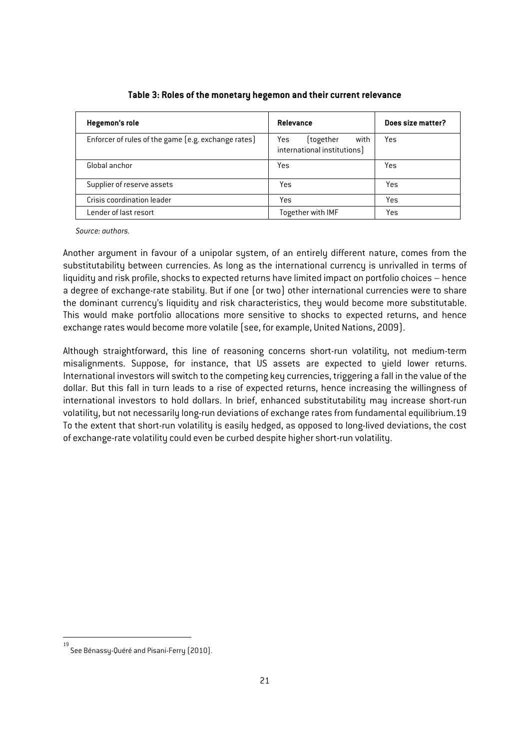| Hegemon's role                                      | Relevance                                               | Does size matter? |
|-----------------------------------------------------|---------------------------------------------------------|-------------------|
| Enforcer of rules of the game (e.g. exchange rates) | [together<br>with<br>Yes<br>international institutions) | Yes               |
| Global anchor                                       | Yes                                                     | Yes               |
| Supplier of reserve assets                          | Yes                                                     | Yes               |
| Crisis coordination leader                          | Yes                                                     | Yes               |
| Lender of last resort                               | Together with IMF                                       | Yes               |

**Table 3: Roles of the monetary hegemon and their current relevance** 

*Source: authors.* 

Another argument in favour of a unipolar system, of an entirely different nature, comes from the substitutability between currencies. As long as the international currency is unrivalled in terms of liquidity and risk profile, shocks to expected returns have limited impact on portfolio choices – hence a degree of exchange-rate stability. But if one (or two) other international currencies were to share the dominant currency's liquidity and risk characteristics, they would become more substitutable. This would make portfolio allocations more sensitive to shocks to expected returns, and hence exchange rates would become more volatile (see, for example, United Nations, 2009).

Although straightforward, this line of reasoning concerns short-run volatility, not medium-term misalignments. Suppose, for instance, that US assets are expected to yield lower returns. International investors will switch to the competing key currencies, triggering a fall in the value of the dollar. But this fall in turn leads to a rise of expected returns, hence increasing the willingness of international investors to hold dollars. In brief, enhanced substitutability may increase short-run volatility, but not necessarily long-run deviations of exchange rates from fundamental equilibrium.19 To the extent that short-run volatility is easily hedged, as opposed to long-lived deviations, the cost of exchange-rate volatility could even be curbed despite higher short-run volatility.

 19 See Bénassy-Quéré and Pisani-Ferry (2010).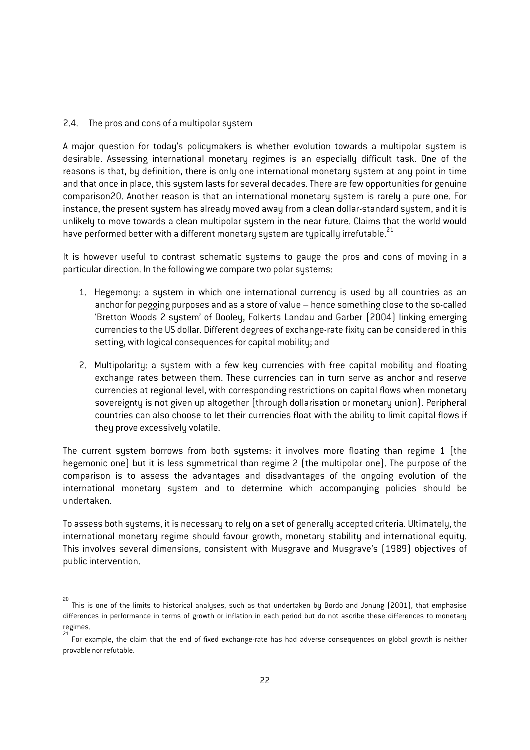#### 2.4. The pros and cons of a multipolar system

A major question for today's policymakers is whether evolution towards a multipolar system is desirable. Assessing international monetary regimes is an especially difficult task. One of the reasons is that, by definition, there is only one international monetary system at any point in time and that once in place, this system lasts for several decades. There are few opportunities for genuine comparison20. Another reason is that an international monetary system is rarely a pure one. For instance, the present system has already moved away from a clean dollar-standard system, and it is unlikely to move towards a clean multipolar system in the near future. Claims that the world would have performed better with a different monetary system are typically irrefutable.<sup>21</sup>

It is however useful to contrast schematic systems to gauge the pros and cons of moving in a particular direction. In the following we compare two polar systems:

- 1. Hegemony: a system in which one international currency is used by all countries as an anchor for pegging purposes and as a store of value – hence something close to the so-called 'Bretton Woods 2 system' of Dooley, Folkerts Landau and Garber (2004) linking emerging currencies to the US dollar. Different degrees of exchange-rate fixity can be considered in this setting, with logical consequences for capital mobility; and
- 2. Multipolarity: a system with a few key currencies with free capital mobility and floating exchange rates between them. These currencies can in turn serve as anchor and reserve currencies at regional level, with corresponding restrictions on capital flows when monetary sovereignty is not given up altogether (through dollarisation or monetary union). Peripheral countries can also choose to let their currencies float with the ability to limit capital flows if they prove excessively volatile.

The current system borrows from both systems: it involves more floating than regime 1 (the hegemonic one) but it is less symmetrical than regime 2 (the multipolar one). The purpose of the comparison is to assess the advantages and disadvantages of the ongoing evolution of the international monetary system and to determine which accompanying policies should be undertaken.

To assess both systems, it is necessary to rely on a set of generally accepted criteria. Ultimately, the international monetary regime should favour growth, monetary stability and international equity. This involves several dimensions, consistent with Musgrave and Musgrave's (1989) objectives of public intervention.

 20 This is one of the limits to historical analyses, such as that undertaken by Bordo and Jonung (2001), that emphasise differences in performance in terms of growth or inflation in each period but do not ascribe these differences to monetary regimes.

<sup>21</sup> For example, the claim that the end of fixed exchange-rate has had adverse consequences on global growth is neither provable nor refutable.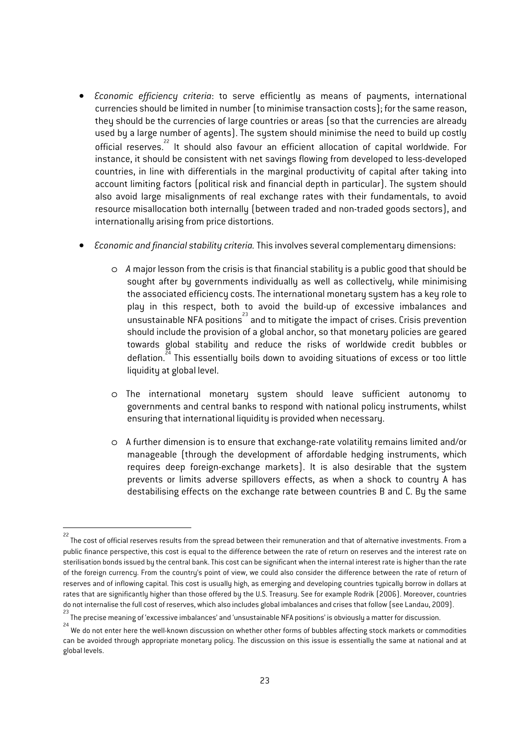- *Economic efficiency criteria*: to serve efficiently as means of payments, international currencies should be limited in number (to minimise transaction costs); for the same reason, they should be the currencies of large countries or areas (so that the currencies are already used by a large number of agents). The system should minimise the need to build up costly official reserves.<sup>22</sup> It should also favour an efficient allocation of capital worldwide. For instance, it should be consistent with net savings flowing from developed to less-developed countries, in line with differentials in the marginal productivity of capital after taking into account limiting factors (political risk and financial depth in particular). The system should also avoid large misalignments of real exchange rates with their fundamentals, to avoid resource misallocation both internally (between traded and non-traded goods sectors), and internationally arising from price distortions.
- *Economic and financial stability criteria.* This involves several complementary dimensions:
	- o *A* major lesson from the crisis is that financial stability is a public good that should be sought after by governments individually as well as collectively, while minimising the associated efficiency costs. The international monetary system has a key role to play in this respect, both to avoid the build-up of excessive imbalances and  $\overline{\phantom{a}}$  unsustainable NFA positions $^{23}$  and to mitigate the impact of crises. Crisis prevention should include the provision of a global anchor, so that monetary policies are geared towards global stability and reduce the risks of worldwide credit bubbles or deflation.<sup>24</sup> This essentially boils down to avoiding situations of excess or too little liquidity at global level.
	- o The international monetary system should leave sufficient autonomy to governments and central banks to respond with national policy instruments, whilst ensuring that international liquidity is provided when necessary.
	- o A further dimension is to ensure that exchange-rate volatility remains limited and/or manageable (through the development of affordable hedging instruments, which requires deep foreign-exchange markets). It is also desirable that the system prevents or limits adverse spillovers effects, as when a shock to country A has destabilising effects on the exchange rate between countries B and C. By the same

 22 The cost of official reserves results from the spread between their remuneration and that of alternative investments. From a public finance perspective, this cost is equal to the difference between the rate of return on reserves and the interest rate on sterilisation bonds issued by the central bank. This cost can be significant when the internal interest rate is higher than the rate of the foreign currency. From the country's point of view, we could also consider the difference between the rate of return of reserves and of inflowing capital. This cost is usually high, as emerging and developing countries typically borrow in dollars at rates that are significantly higher than those offered by the U.S. Treasury. See for example Rodrik (2006). Moreover, countries do not internalise the full cost of reserves, which also includes global imbalances and crises that follow (see Landau, 2009). 23

The precise meaning of 'excessive imbalances' and 'unsustainable NFA positions' is obviously a matter for discussion.

<sup>24</sup> We do not enter here the well-known discussion on whether other forms of bubbles affecting stock markets or commodities can be avoided through appropriate monetary policy. The discussion on this issue is essentially the same at national and at global levels.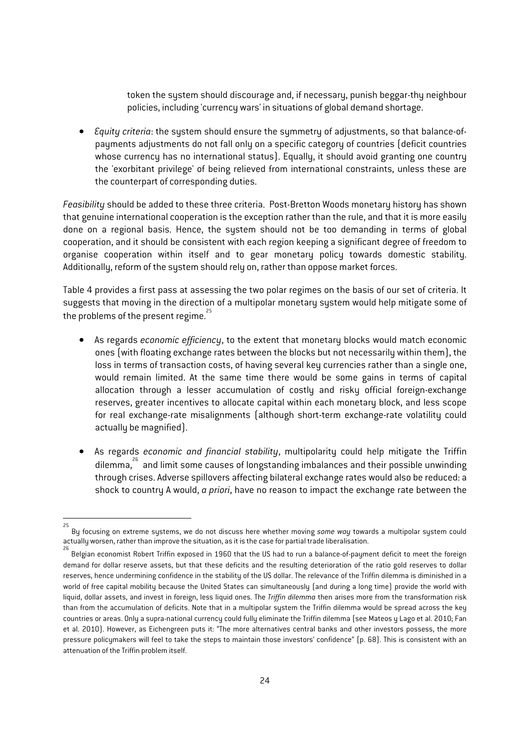token the system should discourage and, if necessary, punish beggar-thy neighbour policies, including 'currency wars' in situations of global demand shortage.

• *Equity criteria*: the system should ensure the symmetry of adjustments, so that balance-ofpayments adjustments do not fall only on a specific category of countries (deficit countries whose currency has no international status). Equally, it should avoid granting one country the 'exorbitant privilege' of being relieved from international constraints, unless these are the counterpart of corresponding duties.

*Feasibility* should be added to these three criteria. Post-Bretton Woods monetary history has shown that genuine international cooperation is the exception rather than the rule, and that it is more easily done on a regional basis. Hence, the system should not be too demanding in terms of global cooperation, and it should be consistent with each region keeping a significant degree of freedom to organise cooperation within itself and to gear monetary policy towards domestic stability. Additionally, reform of the system should rely on, rather than oppose market forces.

Table 4 provides a first pass at assessing the two polar regimes on the basis of our set of criteria. It suggests that moving in the direction of a multipolar monetary system would help mitigate some of the problems of the present regime.<sup>25</sup>

- As regards *economic efficiency*, to the extent that monetary blocks would match economic ones (with floating exchange rates between the blocks but not necessarily within them), the loss in terms of transaction costs, of having several key currencies rather than a single one, would remain limited. At the same time there would be some gains in terms of capital allocation through a lesser accumulation of costly and risky official foreign-exchange reserves, greater incentives to allocate capital within each monetary block, and less scope for real exchange-rate misalignments (although short-term exchange-rate volatility could actually be magnified).
- As regards *economic and financial stability*, multipolarity could help mitigate the Triffin dilemma,26 and limit some causes of longstanding imbalances and their possible unwinding through crises. Adverse spillovers affecting bilateral exchange rates would also be reduced: a shock to country A would, *a priori*, have no reason to impact the exchange rate between the

1

<sup>25</sup> By focusing on extreme systems, we do not discuss here whether moving *some way* towards a multipolar system could actually worsen, rather than improve the situation, as it is the case for partial trade liberalisation. 26

Belgian economist Robert Triffin exposed in 1960 that the US had to run a balance-of-payment deficit to meet the foreign demand for dollar reserve assets, but that these deficits and the resulting deterioration of the ratio gold reserves to dollar reserves, hence undermining confidence in the stability of the US dollar. The relevance of the Triffin dilemma is diminished in a world of free capital mobility because the United States can simultaneously (and during a long time) provide the world with liquid, dollar assets, and invest in foreign, less liquid ones. The *Triffin dilemma* then arises more from the transformation risk than from the accumulation of deficits. Note that in a multipolar system the Triffin dilemma would be spread across the key countries or areas. Only a supra-national currency could fully eliminate the Triffin dilemma (see Mateos y Lago et al. 2010; Fan et al. 2010). However, as Eichengreen puts it: "The more alternatives central banks and other investors possess, the more pressure policymakers will feel to take the steps to maintain those investors' confidence" (p. 68). This is consistent with an attenuation of the Triffin problem itself.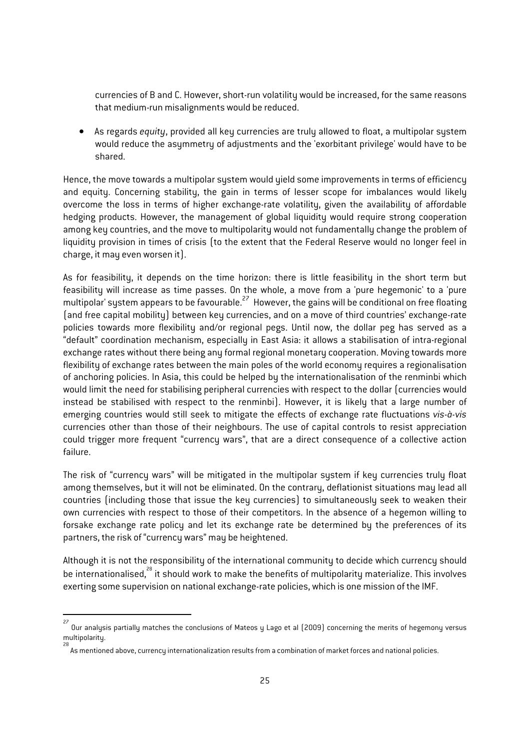currencies of B and C. However, short-run volatility would be increased, for the same reasons that medium-run misalignments would be reduced.

• As regards *equity*, provided all key currencies are truly allowed to float, a multipolar system would reduce the asymmetry of adjustments and the 'exorbitant privilege' would have to be shared.

Hence, the move towards a multipolar system would yield some improvements in terms of efficiency and equity. Concerning stability, the gain in terms of lesser scope for imbalances would likely overcome the loss in terms of higher exchange-rate volatility, given the availability of affordable hedging products. However, the management of global liquidity would require strong cooperation among key countries, and the move to multipolarity would not fundamentally change the problem of liquidity provision in times of crisis (to the extent that the Federal Reserve would no longer feel in charge, it may even worsen it).

As for feasibility, it depends on the time horizon: there is little feasibility in the short term but feasibility will increase as time passes. On the whole, a move from a 'pure hegemonic' to a 'pure multipolar' system appears to be favourable.27 However, the gains will be conditional on free floating (and free capital mobility) between key currencies, and on a move of third countries' exchange-rate policies towards more flexibility and/or regional pegs. Until now, the dollar peg has served as a "default" coordination mechanism, especially in East Asia: it allows a stabilisation of intra-regional exchange rates without there being any formal regional monetary cooperation. Moving towards more flexibility of exchange rates between the main poles of the world economy requires a regionalisation of anchoring policies. In Asia, this could be helped by the internationalisation of the renminbi which would limit the need for stabilising peripheral currencies with respect to the dollar (currencies would instead be stabilised with respect to the renminbi). However, it is likely that a large number of emerging countries would still seek to mitigate the effects of exchange rate fluctuations *vis-à-vis* currencies other than those of their neighbours. The use of capital controls to resist appreciation could trigger more frequent "currency wars", that are a direct consequence of a collective action failure.

The risk of "currency wars" will be mitigated in the multipolar system if key currencies truly float among themselves, but it will not be eliminated. On the contrary, deflationist situations may lead all countries (including those that issue the key currencies) to simultaneously seek to weaken their own currencies with respect to those of their competitors. In the absence of a hegemon willing to forsake exchange rate policy and let its exchange rate be determined by the preferences of its partners, the risk of "currency wars" may be heightened.

Although it is not the responsibility of the international community to decide which currency should be internationalised,<sup>28</sup> it should work to make the benefits of multipolarity materialize. This involves exerting some supervision on national exchange-rate policies, which is one mission of the IMF.

1

<sup>27</sup> Our analysis partially matches the conclusions of Mateos y Lago et al (2009) concerning the merits of hegemony versus multipolarity.

<sup>28</sup>  $\stackrel{\sim}{s}$  As mentioned above, currency internationalization results from a combination of market forces and national policies.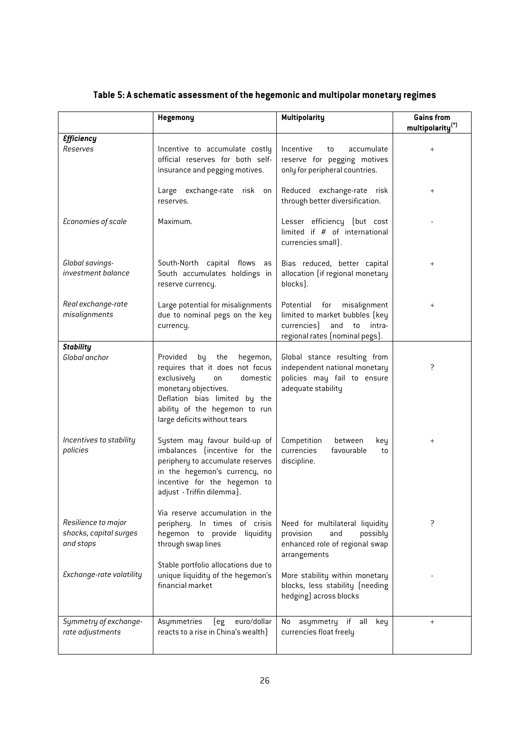|                                                            | Hegemony                                                                                                                                                                                                                        | <b>Multipolarity</b>                                                                                                                 | <b>Gains from</b><br>multipolarity <sup>(*)</sup> |
|------------------------------------------------------------|---------------------------------------------------------------------------------------------------------------------------------------------------------------------------------------------------------------------------------|--------------------------------------------------------------------------------------------------------------------------------------|---------------------------------------------------|
| <b>Efficiency</b><br>Reserves                              | Incentive to accumulate costly<br>official reserves for both self-<br>insurance and pegging motives.                                                                                                                            | Incentive<br>accumulate<br>to<br>reserve for pegging motives<br>only for peripheral countries.                                       |                                                   |
|                                                            | Large exchange-rate risk on<br>reserves.                                                                                                                                                                                        | Reduced exchange-rate risk<br>through better diversification.                                                                        | $\,{}^+$                                          |
| Economies of scale                                         | Maximum.                                                                                                                                                                                                                        | Lesser efficiency (but cost<br>limited if # of international<br>currencies small).                                                   |                                                   |
| Global savings-<br>investment balance                      | South-North capital flows<br>as<br>South accumulates holdings in<br>reserve currency.                                                                                                                                           | Bias reduced, better capital<br>allocation (if regional monetary<br>blocks).                                                         | $\hspace{0.1mm} +$                                |
| Real exchange-rate<br>misalignments                        | Large potential for misalignments<br>due to nominal pegs on the key<br>currency.                                                                                                                                                | Potential for<br>misalignment<br>limited to market bubbles (key<br>currencies)<br>and<br>to intra-<br>regional rates (nominal pegs). | $\hspace{0.1mm} +$                                |
| <b>Stability</b><br>Global anchor                          | Provided<br>the<br>hegemon,<br>by<br>requires that it does not focus<br>exclusively<br>domestic<br>on<br>monetary objectives.<br>Deflation bias limited by the<br>ability of the hegemon to run<br>large deficits without tears | Global stance resulting from<br>independent national monetary<br>policies may fail to ensure<br>adequate stability                   | ?                                                 |
| Incentives to stability<br>policies                        | System may favour build-up of<br>imbalances (incentive for the<br>periphery to accumulate reserves<br>in the hegemon's currency, no<br>incentive for the hegemon to<br>adjust - Triffin dilemma).                               | Competition<br>between<br>key<br>currencies<br>favourable<br>to<br>discipline.                                                       | $\,^+$                                            |
| Resilience to major<br>shocks, capital surges<br>and stops | Via reserve accumulation in the<br>periphery. In times of crisis<br>hegemon to provide liquidity<br>through swap lines                                                                                                          | Need for multilateral liquidity<br>provision<br>and<br>possibly<br>enhanced role of regional swap<br>arrangements                    | ?                                                 |
| Exchange-rate volatility                                   | Stable portfolio allocations due to<br>unique liquidity of the hegemon's<br>financial market                                                                                                                                    | More stability within monetary<br>blocks, less stability (needing<br>hedging) across blocks                                          |                                                   |
| Symmetry of exchange-<br>rate adjustments                  | euro/dollar<br>Asymmetries<br>eg)<br>reacts to a rise in China's wealth]                                                                                                                                                        | asymmetry if<br>all<br>key<br>No<br>currencies float freely                                                                          | $^{+}$                                            |

# **Table 5: A schematic assessment of the hegemonic and multipolar monetary regimes**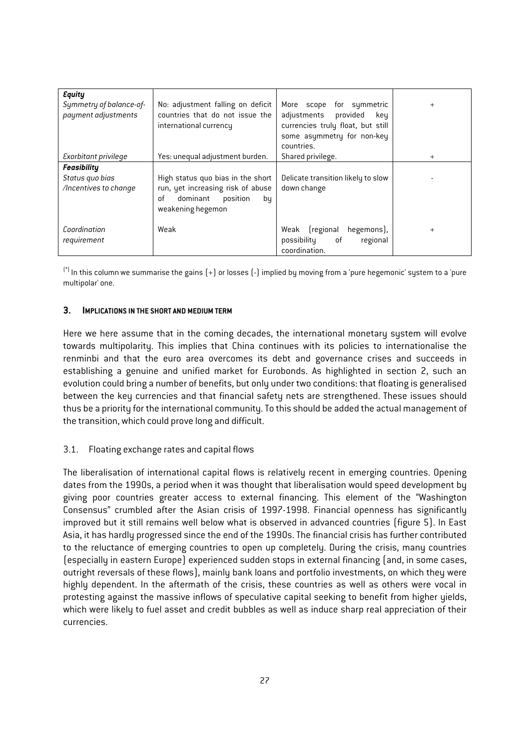| <b>Equity</b><br>Symmetry of balance-of-<br>payment adjustments | No: adjustment falling on deficit<br>countries that do not issue the<br>international currency | More scope for symmetric<br>adjustments<br>provided<br>keu<br>currencies truly float, but still<br>some asymmetry for non-key | $\ddot{}$ |
|-----------------------------------------------------------------|------------------------------------------------------------------------------------------------|-------------------------------------------------------------------------------------------------------------------------------|-----------|
|                                                                 |                                                                                                | countries.                                                                                                                    |           |
| Exorbitant privilege                                            | Yes: unequal adjustment burden.                                                                | Shared privilege.                                                                                                             | $^{+}$    |
| <b>Feasibility</b>                                              |                                                                                                |                                                                                                                               |           |
| Status quo bias                                                 | High status quo bias in the short                                                              | Delicate transition likely to slow                                                                                            |           |
| /Incentives to change                                           | run, yet increasing risk of abuse                                                              | down change                                                                                                                   |           |
|                                                                 | dominant<br>position<br>0f<br>bų                                                               |                                                                                                                               |           |
|                                                                 | weakening hegemon                                                                              |                                                                                                                               |           |
|                                                                 |                                                                                                |                                                                                                                               |           |
| Coordination                                                    | Weak                                                                                           | (regional<br>hegemons),<br>Weak                                                                                               | $\ddot{}$ |
| requirement                                                     |                                                                                                | possibility<br>of<br>regional                                                                                                 |           |
|                                                                 |                                                                                                | coordination.                                                                                                                 |           |

(\*) In this column we summarise the gains (+) or losses (-) implied by moving from a 'pure hegemonic' system to a 'pure multipolar' one.

#### **3. IMPLICATIONS IN THE SHORT AND MEDIUM TERM**

Here we here assume that in the coming decades, the international monetary system will evolve towards multipolarity. This implies that China continues with its policies to internationalise the renminbi and that the euro area overcomes its debt and governance crises and succeeds in establishing a genuine and unified market for Eurobonds. As highlighted in section 2, such an evolution could bring a number of benefits, but only under two conditions: that floating is generalised between the key currencies and that financial safety nets are strengthened. These issues should thus be a priority for the international community. To this should be added the actual management of the transition, which could prove long and difficult.

#### 3.1. Floating exchange rates and capital flows

The liberalisation of international capital flows is relatively recent in emerging countries. Opening dates from the 1990s, a period when it was thought that liberalisation would speed development by giving poor countries greater access to external financing. This element of the "Washington Consensus" crumbled after the Asian crisis of 1997-1998. Financial openness has significantly improved but it still remains well below what is observed in advanced countries (figure 5). In East Asia, it has hardly progressed since the end of the 1990s. The financial crisis has further contributed to the reluctance of emerging countries to open up completely. During the crisis, many countries (especially in eastern Europe) experienced sudden stops in external financing (and, in some cases, outright reversals of these flows), mainly bank loans and portfolio investments, on which they were highly dependent. In the aftermath of the crisis, these countries as well as others were vocal in protesting against the massive inflows of speculative capital seeking to benefit from higher yields, which were likely to fuel asset and credit bubbles as well as induce sharp real appreciation of their currencies.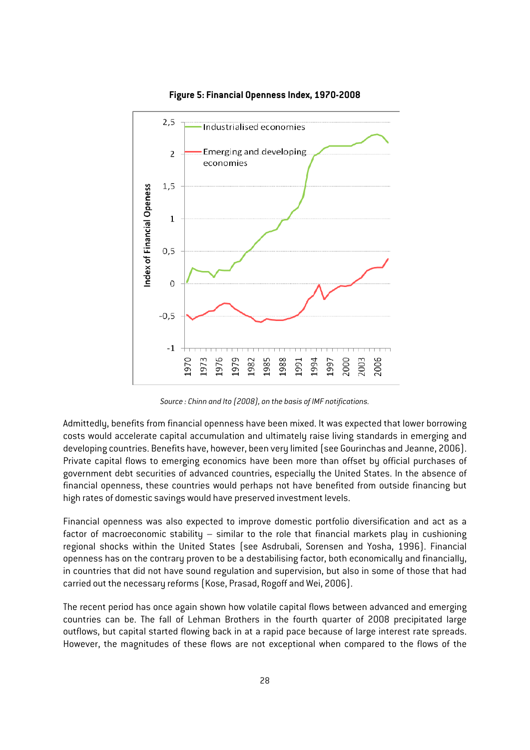

**Figure 5: Financial Openness Index, 1970-2008** 

*Source : Chinn and Ito (2008), on the basis of IMF notifications.* 

Admittedly, benefits from financial openness have been mixed. It was expected that lower borrowing costs would accelerate capital accumulation and ultimately raise living standards in emerging and developing countries. Benefits have, however, been very limited (see Gourinchas and Jeanne, 2006). Private capital flows to emerging economics have been more than offset by official purchases of government debt securities of advanced countries, especially the United States. In the absence of financial openness, these countries would perhaps not have benefited from outside financing but high rates of domestic savings would have preserved investment levels.

Financial openness was also expected to improve domestic portfolio diversification and act as a factor of macroeconomic stability – similar to the role that financial markets play in cushioning regional shocks within the United States (see Asdrubali, Sorensen and Yosha, 1996). Financial openness has on the contrary proven to be a destabilising factor, both economically and financially, in countries that did not have sound regulation and supervision, but also in some of those that had carried out the necessary reforms (Kose, Prasad, Rogoff and Wei, 2006).

The recent period has once again shown how volatile capital flows between advanced and emerging countries can be. The fall of Lehman Brothers in the fourth quarter of 2008 precipitated large outflows, but capital started flowing back in at a rapid pace because of large interest rate spreads. However, the magnitudes of these flows are not exceptional when compared to the flows of the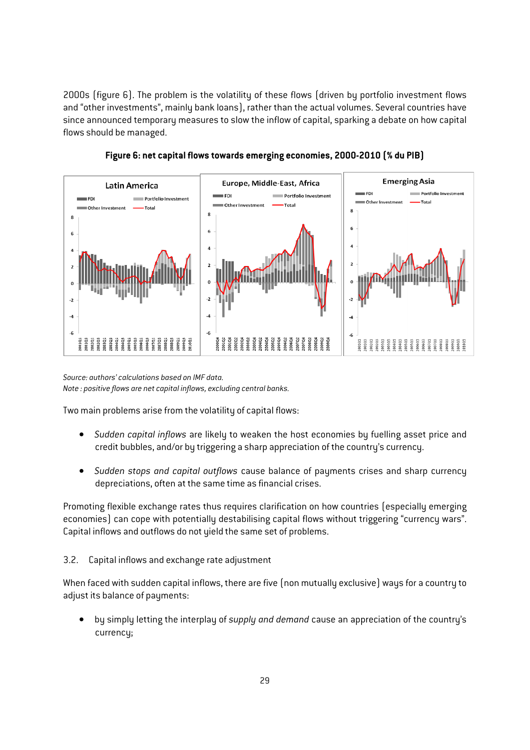2000s (figure 6). The problem is the volatility of these flows (driven by portfolio investment flows and "other investments", mainly bank loans), rather than the actual volumes. Several countries have since announced temporary measures to slow the inflow of capital, sparking a debate on how capital flows should be managed.



**Figure 6: net capital flows towards emerging economies, 2000-2010 (% du PIB)** 

*Source: authors' calculations based on IMF data. Note : positive flows are net capital inflows, excluding central banks.* 

Two main problems arise from the volatility of capital flows:

- *Sudden capital inflows* are likely to weaken the host economies by fuelling asset price and credit bubbles, and/or by triggering a sharp appreciation of the country's currency.
- *Sudden stops and capital outflows* cause balance of payments crises and sharp currency depreciations, often at the same time as financial crises.

Promoting flexible exchange rates thus requires clarification on how countries (especially emerging economies) can cope with potentially destabilising capital flows without triggering "currency wars". Capital inflows and outflows do not yield the same set of problems.

3.2. Capital inflows and exchange rate adjustment

When faced with sudden capital inflows, there are five (non mutually exclusive) ways for a country to adjust its balance of payments:

• by simply letting the interplay of *supply and demand* cause an appreciation of the country's currency;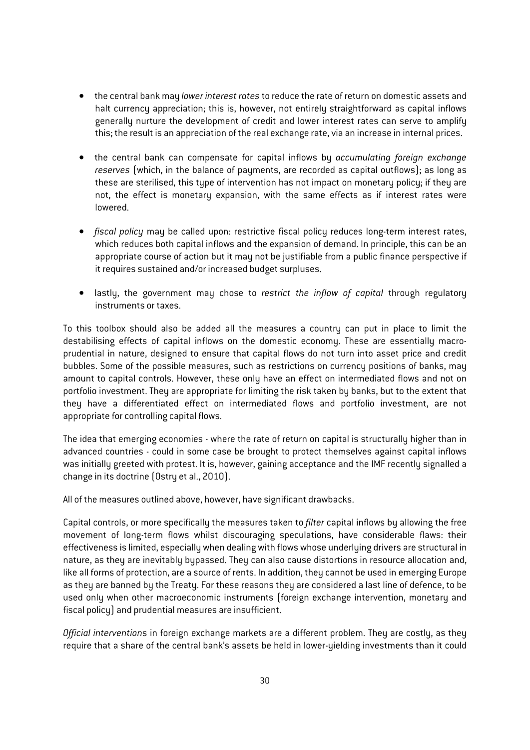- the central bank may *lower interest rates* to reduce the rate of return on domestic assets and halt currency appreciation; this is, however, not entirely straightforward as capital inflows generally nurture the development of credit and lower interest rates can serve to amplify this; the result is an appreciation of the real exchange rate, via an increase in internal prices.
- the central bank can compensate for capital inflows by *accumulating foreign exchange reserves* (which, in the balance of payments, are recorded as capital outflows); as long as these are sterilised, this tupe of intervention has not impact on monetary policy; if they are not, the effect is monetary expansion, with the same effects as if interest rates were lowered.
- *fiscal policy* may be called upon: restrictive fiscal policy reduces long-term interest rates, which reduces both capital inflows and the expansion of demand. In principle, this can be an appropriate course of action but it may not be justifiable from a public finance perspective if it requires sustained and/or increased budget surpluses.
- lastly, the government may chose to *restrict the inflow of capital* through regulatory instruments or taxes.

To this toolbox should also be added all the measures a country can put in place to limit the destabilising effects of capital inflows on the domestic economy. These are essentially macroprudential in nature, designed to ensure that capital flows do not turn into asset price and credit bubbles. Some of the possible measures, such as restrictions on currency positions of banks, may amount to capital controls. However, these only have an effect on intermediated flows and not on portfolio investment. They are appropriate for limiting the risk taken by banks, but to the extent that they have a differentiated effect on intermediated flows and portfolio investment, are not appropriate for controlling capital flows.

The idea that emerging economies - where the rate of return on capital is structurally higher than in advanced countries - could in some case be brought to protect themselves against capital inflows was initially greeted with protest. It is, however, gaining acceptance and the IMF recently signalled a change in its doctrine (Ostry et al., 2010).

All of the measures outlined above, however, have significant drawbacks.

Capital controls, or more specifically the measures taken to *filter* capital inflows by allowing the free movement of long-term flows whilst discouraging speculations, have considerable flaws: their effectiveness is limited, especially when dealing with flows whose underlying drivers are structural in nature, as they are inevitably bypassed. They can also cause distortions in resource allocation and, like all forms of protection, are a source of rents. In addition, they cannot be used in emerging Europe as they are banned by the Treaty. For these reasons they are considered a last line of defence, to be used only when other macroeconomic instruments (foreign exchange intervention, monetary and fiscal policy) and prudential measures are insufficient.

*Official intervention*s in foreign exchange markets are a different problem. They are costly, as they require that a share of the central bank's assets be held in lower-yielding investments than it could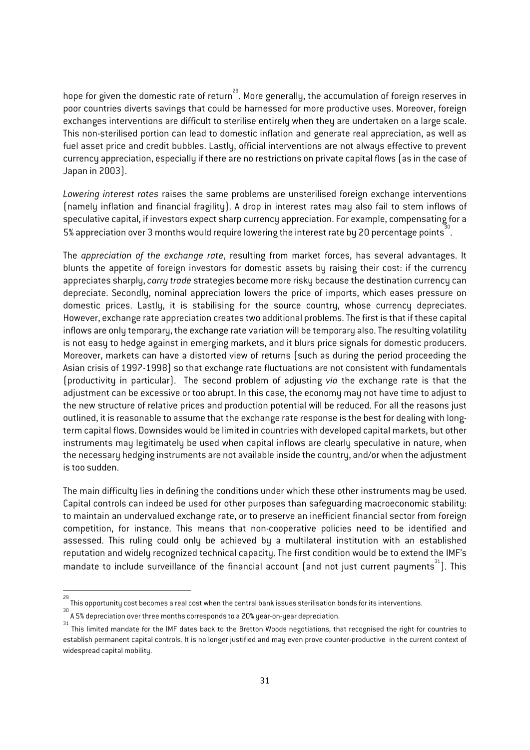hope for given the domestic rate of return<sup>29</sup>. More generally, the accumulation of foreign reserves in poor countries diverts savings that could be harnessed for more productive uses. Moreover, foreign exchanges interventions are difficult to sterilise entirely when they are undertaken on a large scale. This non-sterilised portion can lead to domestic inflation and generate real appreciation, as well as fuel asset price and credit bubbles. Lastly, official interventions are not always effective to prevent currency appreciation, especially if there are no restrictions on private capital flows (as in the case of Japan in 2003).

*Lowering interest rates* raises the same problems are unsterilised foreign exchange interventions (namely inflation and financial fragility). A drop in interest rates may also fail to stem inflows of speculative capital, if investors expect sharp currency appreciation. For example, compensating for a 5% appreciation over 3 months would require lowering the interest rate by 20 percentage points<sup>30</sup>.

The *appreciation of the exchange rate*, resulting from market forces, has several advantages. It blunts the appetite of foreign investors for domestic assets by raising their cost: if the currency appreciates sharply, *carry trade* strategies become more risky because the destination currency can depreciate. Secondly, nominal appreciation lowers the price of imports, which eases pressure on domestic prices. Lastly, it is stabilising for the source country, whose currency depreciates. However, exchange rate appreciation creates two additional problems. The first is that if these capital inflows are only temporary, the exchange rate variation will be temporary also. The resulting volatility is not easy to hedge against in emerging markets, and it blurs price signals for domestic producers. Moreover, markets can have a distorted view of returns (such as during the period proceeding the Asian crisis of 1997-1998) so that exchange rate fluctuations are not consistent with fundamentals (productivity in particular). The second problem of adjusting *via* the exchange rate is that the adjustment can be excessive or too abrupt. In this case, the economy may not have time to adjust to the new structure of relative prices and production potential will be reduced. For all the reasons just outlined, it is reasonable to assume that the exchange rate response is the best for dealing with longterm capital flows. Downsides would be limited in countries with developed capital markets, but other instruments may legitimately be used when capital inflows are clearly speculative in nature, when the necessary hedging instruments are not available inside the country, and/or when the adjustment is too sudden.

The main difficulty lies in defining the conditions under which these other instruments may be used. Capital controls can indeed be used for other purposes than safeguarding macroeconomic stability: to maintain an undervalued exchange rate, or to preserve an inefficient financial sector from foreign competition, for instance. This means that non-cooperative policies need to be identified and assessed. This ruling could only be achieved by a multilateral institution with an established reputation and widely recognized technical capacity. The first condition would be to extend the IMF's mandate to include surveillance of the financial account (and not just current payments<sup>31</sup>). This

1

<sup>29</sup> This opportunity cost becomes a real cost when the central bank issues sterilisation bonds for its interventions.

A 5% depreciation over three months corresponds to a 20% year-on-year depreciation. 31

This limited mandate for the IMF dates back to the Bretton Woods negotiations, that recognised the right for countries to establish permanent capital controls. It is no longer justified and may even prove counter-productive in the current context of widespread capital mobility.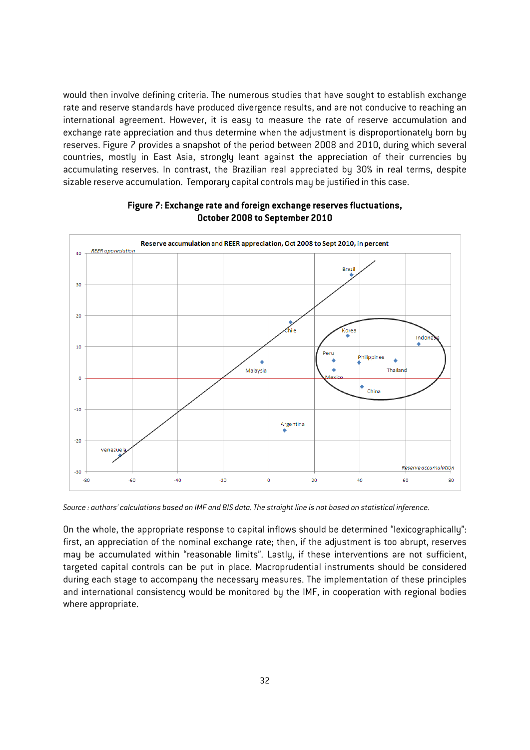would then involve defining criteria. The numerous studies that have sought to establish exchange rate and reserve standards have produced divergence results, and are not conducive to reaching an international agreement. However, it is easy to measure the rate of reserve accumulation and exchange rate appreciation and thus determine when the adjustment is disproportionately born by reserves. Figure 7 provides a snapshot of the period between 2008 and 2010, during which several countries, mostly in East Asia, strongly leant against the appreciation of their currencies by accumulating reserves. In contrast, the Brazilian real appreciated by 30% in real terms, despite sizable reserve accumulation. Temporary capital controls may be justified in this case.



#### **Figure 7: Exchange rate and foreign exchange reserves fluctuations, October 2008 to September 2010**

*Source : authors' calculations based on IMF and BIS data. The straight line is not based on statistical inference.* 

On the whole, the appropriate response to capital inflows should be determined "lexicographically": first, an appreciation of the nominal exchange rate; then, if the adjustment is too abrupt, reserves may be accumulated within "reasonable limits". Lastly, if these interventions are not sufficient, targeted capital controls can be put in place. Macroprudential instruments should be considered during each stage to accompany the necessary measures. The implementation of these principles and international consistency would be monitored by the IMF, in cooperation with regional bodies where appropriate.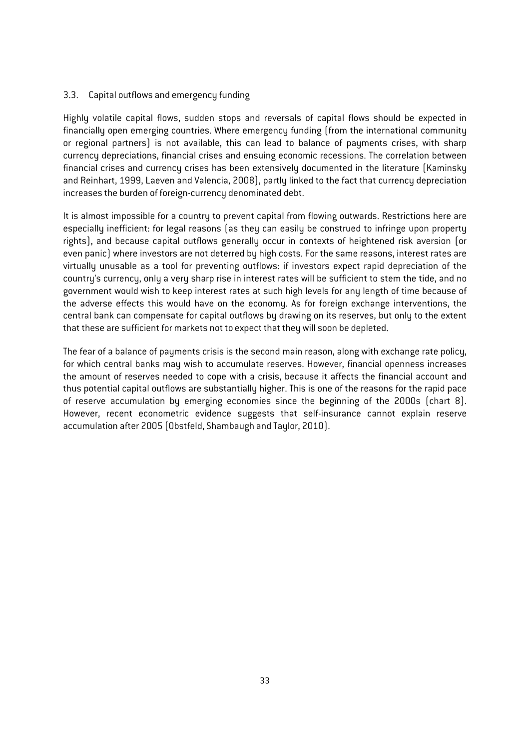#### 3.3. Capital outflows and emergency funding

Highly volatile capital flows, sudden stops and reversals of capital flows should be expected in financially open emerging countries. Where emergency funding (from the international community or regional partners) is not available, this can lead to balance of payments crises, with sharp currency depreciations, financial crises and ensuing economic recessions. The correlation between financial crises and currency crises has been extensively documented in the literature (Kaminsky and Reinhart, 1999, Laeven and Valencia, 2008), partly linked to the fact that currency depreciation increases the burden of foreign-currency denominated debt.

It is almost impossible for a country to prevent capital from flowing outwards. Restrictions here are especially inefficient: for legal reasons (as they can easily be construed to infringe upon property rights), and because capital outflows generally occur in contexts of heightened risk aversion (or even panic) where investors are not deterred by high costs. For the same reasons, interest rates are virtually unusable as a tool for preventing outflows: if investors expect rapid depreciation of the country's currency, only a very sharp rise in interest rates will be sufficient to stem the tide, and no government would wish to keep interest rates at such high levels for any length of time because of the adverse effects this would have on the economy. As for foreign exchange interventions, the central bank can compensate for capital outflows by drawing on its reserves, but only to the extent that these are sufficient for markets not to expect that they will soon be depleted.

The fear of a balance of payments crisis is the second main reason, along with exchange rate policy, for which central banks may wish to accumulate reserves. However, financial openness increases the amount of reserves needed to cope with a crisis, because it affects the financial account and thus potential capital outflows are substantially higher. This is one of the reasons for the rapid pace of reserve accumulation by emerging economies since the beginning of the 2000s (chart 8). However, recent econometric evidence suggests that self-insurance cannot explain reserve accumulation after 2005 (Obstfeld, Shambaugh and Taylor, 2010).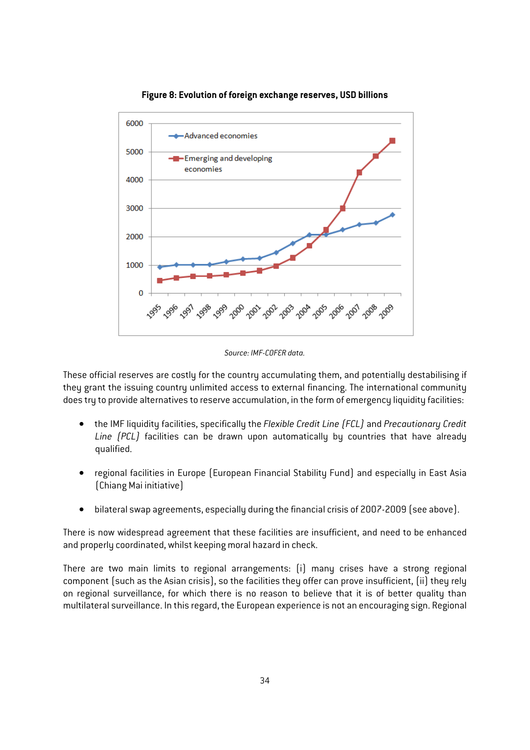

#### **Figure 8: Evolution of foreign exchange reserves, USD billions**

*Source: IMF-COFER data.* 

These official reserves are costly for the country accumulating them, and potentially destabilising if they grant the issuing country unlimited access to external financing. The international community does try to provide alternatives to reserve accumulation, in the form of emergency liquidity facilities:

- the IMF liquidity facilities, specifically the *Flexible Credit Line (FCL)* and *Precautionary Credit Line (PCL)* facilities can be drawn upon automatically by countries that have already qualified.
- regional facilities in Europe (European Financial Stability Fund) and especially in East Asia (Chiang Mai initiative)
- bilateral swap agreements, especially during the financial crisis of 2007-2009 (see above).

There is now widespread agreement that these facilities are insufficient, and need to be enhanced and properly coordinated, whilst keeping moral hazard in check.

There are two main limits to regional arrangements: (i) many crises have a strong regional component (such as the Asian crisis), so the facilities they offer can prove insufficient, (ii) they rely on regional surveillance, for which there is no reason to believe that it is of better quality than multilateral surveillance. In this regard, the European experience is not an encouraging sign. Regional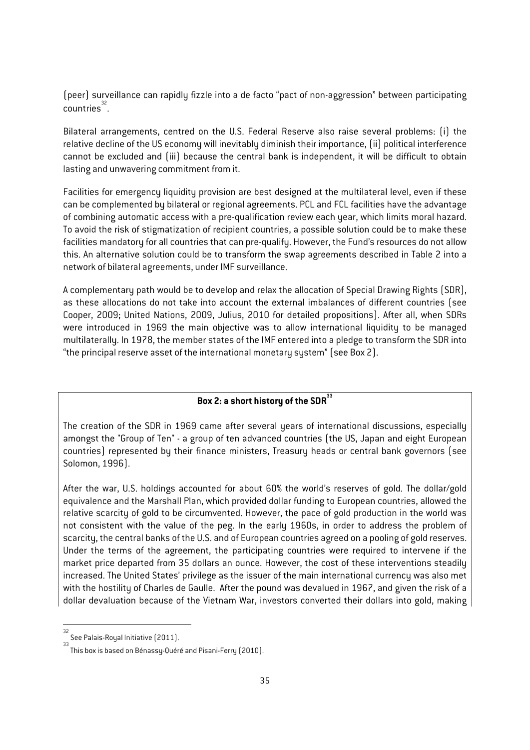(peer) surveillance can rapidly fizzle into a de facto "pact of non-aggression" between participating  $\frac{32}{2}$ 

Bilateral arrangements, centred on the U.S. Federal Reserve also raise several problems: (i) the relative decline of the US economy will inevitably diminish their importance, (ii) political interference cannot be excluded and (iii) because the central bank is independent, it will be difficult to obtain lasting and unwavering commitment from it.

Facilities for emergency liquidity provision are best designed at the multilateral level, even if these can be complemented by bilateral or regional agreements. PCL and FCL facilities have the advantage of combining automatic access with a pre-qualification review each year, which limits moral hazard. To avoid the risk of stigmatization of recipient countries, a possible solution could be to make these facilities mandatory for all countries that can pre-qualify. However, the Fund's resources do not allow this. An alternative solution could be to transform the swap agreements described in Table 2 into a network of bilateral agreements, under IMF surveillance.

A complementary path would be to develop and relax the allocation of Special Drawing Rights (SDR), as these allocations do not take into account the external imbalances of different countries (see Cooper, 2009; United Nations, 2009, Julius, 2010 for detailed propositions). After all, when SDRs were introduced in 1969 the main objective was to allow international liquidity to be managed multilaterally. In 1978, the member states of the IMF entered into a pledge to transform the SDR into "the principal reserve asset of the international monetary system" (see Box 2).

# **Box 2: a short history of the SDR<sup>33</sup>**

The creation of the SDR in 1969 came after several years of international discussions, especially amongst the "Group of Ten" - a group of ten advanced countries (the US, Japan and eight European countries) represented by their finance ministers, Treasury heads or central bank governors (see Solomon, 1996).

After the war, U.S. holdings accounted for about 60% the world's reserves of gold. The dollar/gold equivalence and the Marshall Plan, which provided dollar funding to European countries, allowed the relative scarcity of gold to be circumvented. However, the pace of gold production in the world was not consistent with the value of the peg. In the early 1960s, in order to address the problem of scarcity, the central banks of the U.S. and of European countries agreed on a pooling of gold reserves. Under the terms of the agreement, the participating countries were required to intervene if the market price departed from 35 dollars an ounce. However, the cost of these interventions steadily increased. The United States' privilege as the issuer of the main international currency was also met with the hostility of Charles de Gaulle. After the pound was devalued in 1967, and given the risk of a dollar devaluation because of the Vietnam War, investors converted their dollars into gold, making

 32 See Palais-Royal Initiative (2011).

<sup>33</sup> This box is based on Bénassy-Quéré and Pisani-Ferry (2010).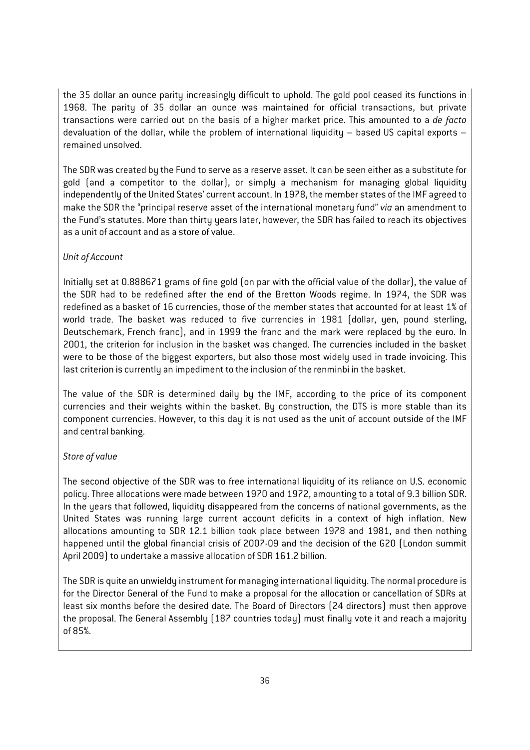the 35 dollar an ounce parity increasingly difficult to uphold. The gold pool ceased its functions in 1968. The parity of 35 dollar an ounce was maintained for official transactions, but private transactions were carried out on the basis of a higher market price. This amounted to a *de facto* devaluation of the dollar, while the problem of international liquidity – based US capital exports – remained unsolved.

The SDR was created by the Fund to serve as a reserve asset. It can be seen either as a substitute for gold (and a competitor to the dollar), or simply a mechanism for managing global liquidity independently of the United States' current account. In 1978, the member states of the IMF agreed to make the SDR the "principal reserve asset of the international monetary fund" *via* an amendment to the Fund's statutes. More than thirty years later, however, the SDR has failed to reach its objectives as a unit of account and as a store of value.

### *Unit of Account*

Initially set at 0.888671 grams of fine gold (on par with the official value of the dollar), the value of the SDR had to be redefined after the end of the Bretton Woods regime. In 1974, the SDR was redefined as a basket of 16 currencies, those of the member states that accounted for at least 1% of world trade. The basket was reduced to five currencies in 1981 (dollar, yen, pound sterling, Deutschemark, French franc), and in 1999 the franc and the mark were replaced by the euro. In 2001, the criterion for inclusion in the basket was changed. The currencies included in the basket were to be those of the biggest exporters, but also those most widely used in trade invoicing. This last criterion is currently an impediment to the inclusion of the renminbi in the basket.

The value of the SDR is determined daily by the IMF, according to the price of its component currencies and their weights within the basket. By construction, the DTS is more stable than its component currencies. However, to this day it is not used as the unit of account outside of the IMF and central banking.

#### *Store of value*

The second objective of the SDR was to free international liquidity of its reliance on U.S. economic policy. Three allocations were made between 1970 and 1972, amounting to a total of 9.3 billion SDR. In the years that followed, liquidity disappeared from the concerns of national governments, as the United States was running large current account deficits in a context of high inflation. New allocations amounting to SDR 12.1 billion took place between 1978 and 1981, and then nothing happened until the global financial crisis of 2007-09 and the decision of the G20 (London summit April 2009) to undertake a massive allocation of SDR 161.2 billion.

The SDR is quite an unwieldy instrument for managing international liquidity. The normal procedure is for the Director General of the Fund to make a proposal for the allocation or cancellation of SDRs at least six months before the desired date. The Board of Directors (24 directors) must then approve the proposal. The General Assembly (187 countries today) must finally vote it and reach a majority of 85%.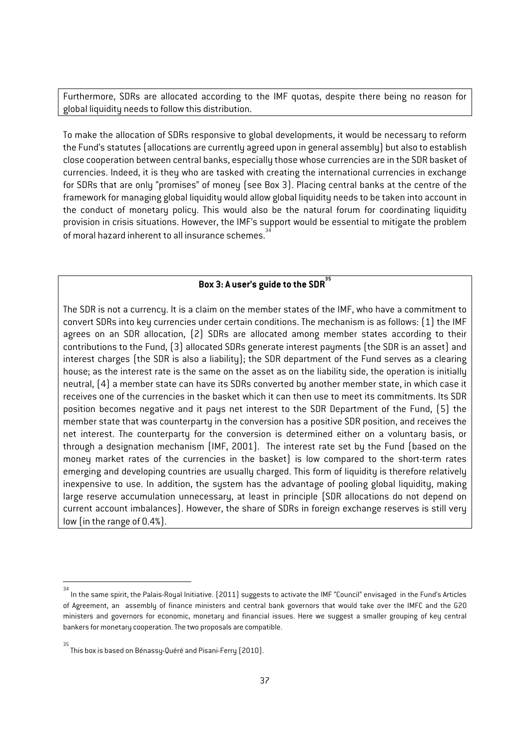Furthermore, SDRs are allocated according to the IMF quotas, despite there being no reason for global liquidity needs to follow this distribution.

To make the allocation of SDRs responsive to global developments, it would be necessary to reform the Fund's statutes (allocations are currently agreed upon in general assembly) but also to establish close cooperation between central banks, especially those whose currencies are in the SDR basket of currencies. Indeed, it is they who are tasked with creating the international currencies in exchange for SDRs that are only "promises" of money (see Box 3). Placing central banks at the centre of the framework for managing global liquidity would allow global liquidity needs to be taken into account in the conduct of monetary policy. This would also be the natural forum for coordinating liquidity provision in crisis situations. However, the IMF's support would be essential to mitigate the problem of moral hazard inherent to all insurance schemes.

# **Box 3: A user's guide to the SDR<sup>35</sup>**

The SDR is not a currency. It is a claim on the member states of the IMF, who have a commitment to convert SDRs into key currencies under certain conditions. The mechanism is as follows: (1) the IMF agrees on an SDR allocation, (2) SDRs are allocated among member states according to their contributions to the Fund, (3) allocated SDRs generate interest payments (the SDR is an asset) and interest charges (the SDR is also a liability); the SDR department of the Fund serves as a clearing house; as the interest rate is the same on the asset as on the liability side, the operation is initially neutral, (4) a member state can have its SDRs converted by another member state, in which case it receives one of the currencies in the basket which it can then use to meet its commitments. Its SDR position becomes negative and it pays net interest to the SDR Department of the Fund, (5) the member state that was counterparty in the conversion has a positive SDR position, and receives the net interest. The counterparty for the conversion is determined either on a voluntary basis, or through a designation mechanism (IMF, 2001). The interest rate set by the Fund (based on the money market rates of the currencies in the basket) is low compared to the short-term rates emerging and developing countries are usually charged. This form of liquidity is therefore relatively inexpensive to use. In addition, the system has the advantage of pooling global liquidity, making large reserve accumulation unnecessary, at least in principle (SDR allocations do not depend on current account imbalances). However, the share of SDRs in foreign exchange reserves is still very low (in the range of 0.4%).

1

<sup>34</sup> In the same spirit, the Palais-Royal Initiative. (2011) suggests to activate the IMF "Council" envisaged in the Fund's Articles of Agreement, an assembly of finance ministers and central bank governors that would take over the IMFC and the G20 ministers and governors for economic, monetary and financial issues. Here we suggest a smaller grouping of key central bankers for monetary cooperation. The two proposals are compatible.

<sup>&</sup>lt;sup>35</sup><br>This box is based on Bénassy-Quéré and Pisani-Ferry (2010).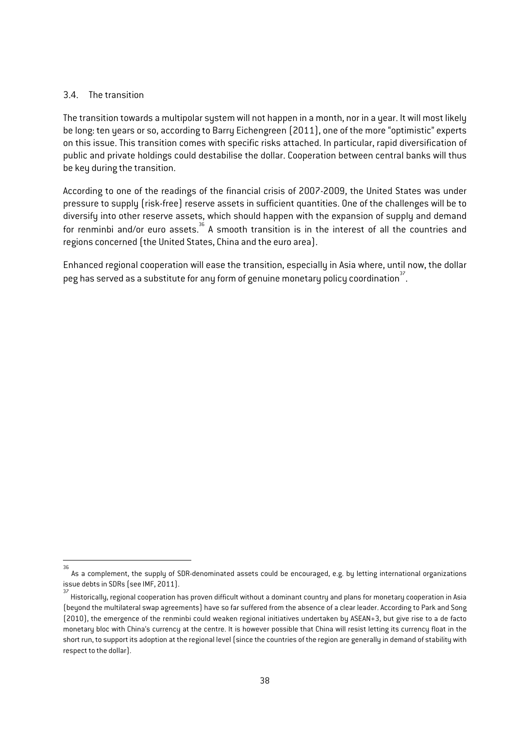#### 3.4. The transition

The transition towards a multipolar system will not happen in a month, nor in a year. It will most likely be long: ten years or so, according to Barry Eichengreen (2011), one of the more "optimistic" experts on this issue. This transition comes with specific risks attached. In particular, rapid diversification of public and private holdings could destabilise the dollar. Cooperation between central banks will thus be key during the transition.

According to one of the readings of the financial crisis of 2007-2009, the United States was under pressure to supply (risk-free) reserve assets in sufficient quantities. One of the challenges will be to diversify into other reserve assets, which should happen with the expansion of supply and demand for renminbi and/or euro assets.<sup>36</sup> A smooth transition is in the interest of all the countries and regions concerned (the United States, China and the euro area).

Enhanced regional cooperation will ease the transition, especially in Asia where, until now, the dollar peg has served as a substitute for any form of genuine monetary policy coordination  $\vec{r}$ .

 36 As a complement, the supply of SDR-denominated assets could be encouraged, e.g. by letting international organizations issue debts in SDRs (see IMF, 2011).

<sup>37</sup> Historically, regional cooperation has proven difficult without a dominant country and plans for monetary cooperation in Asia (beyond the multilateral swap agreements) have so far suffered from the absence of a clear leader. According to Park and Song (2010), the emergence of the renminbi could weaken regional initiatives undertaken by ASEAN+3, but give rise to a de facto monetary bloc with China's currency at the centre. It is however possible that China will resist letting its currency float in the short run, to support its adoption at the regional level (since the countries of the region are generally in demand of stability with respect to the dollar).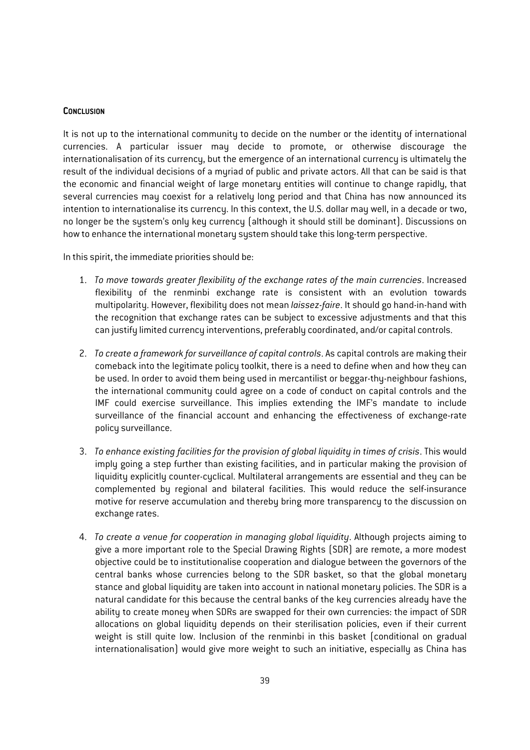#### **CONCLUSION**

It is not up to the international community to decide on the number or the identity of international currencies. A particular issuer may decide to promote, or otherwise discourage the internationalisation of its currency, but the emergence of an international currency is ultimately the result of the individual decisions of a myriad of public and private actors. All that can be said is that the economic and financial weight of large monetary entities will continue to change rapidly, that several currencies may coexist for a relatively long period and that China has now announced its intention to internationalise its currency. In this context, the U.S. dollar may well, in a decade or two, no longer be the system's only key currency (although it should still be dominant). Discussions on how to enhance the international monetary system should take this long-term perspective.

In this spirit, the immediate priorities should be:

- 1. *To move towards greater flexibility of the exchange rates of the main currencies*. Increased flexibility of the renminbi exchange rate is consistent with an evolution towards multipolarity. However, flexibility does not mean *laissez-faire*. It should go hand-in-hand with the recognition that exchange rates can be subject to excessive adjustments and that this can justify limited currency interventions, preferably coordinated, and/or capital controls.
- 2. *To create a framework for surveillance of capital controls*. As capital controls are making their comeback into the legitimate policy toolkit, there is a need to define when and how they can be used. In order to avoid them being used in mercantilist or beggar-thy-neighbour fashions, the international community could agree on a code of conduct on capital controls and the IMF could exercise surveillance. This implies extending the IMF's mandate to include surveillance of the financial account and enhancing the effectiveness of exchange-rate policy surveillance.
- 3. *To enhance existing facilities for the provision of global liquidity in times of crisis*. This would imply going a step further than existing facilities, and in particular making the provision of liquidity explicitly counter-cyclical. Multilateral arrangements are essential and they can be complemented by regional and bilateral facilities. This would reduce the self-insurance motive for reserve accumulation and thereby bring more transparency to the discussion on exchange rates.
- 4. *To create a venue for cooperation in managing global liquidity*. Although projects aiming to give a more important role to the Special Drawing Rights (SDR) are remote, a more modest objective could be to institutionalise cooperation and dialogue between the governors of the central banks whose currencies belong to the SDR basket, so that the global monetary stance and global liquidity are taken into account in national monetary policies. The SDR is a natural candidate for this because the central banks of the key currencies already have the ability to create money when SDRs are swapped for their own currencies: the impact of SDR allocations on global liquidity depends on their sterilisation policies, even if their current weight is still quite low. Inclusion of the renminbi in this basket (conditional on gradual internationalisation) would give more weight to such an initiative, especially as China has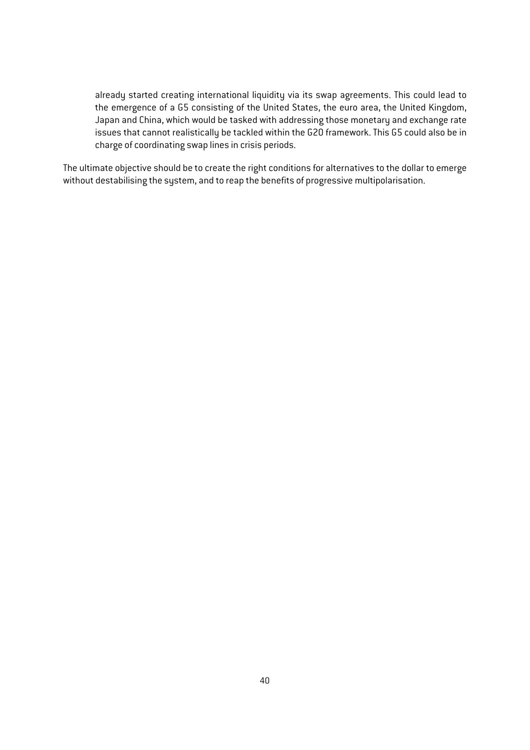already started creating international liquidity via its swap agreements. This could lead to the emergence of a G5 consisting of the United States, the euro area, the United Kingdom, Japan and China, which would be tasked with addressing those monetary and exchange rate issues that cannot realistically be tackled within the G20 framework. This G5 could also be in charge of coordinating swap lines in crisis periods.

The ultimate objective should be to create the right conditions for alternatives to the dollar to emerge without destabilising the system, and to reap the benefits of progressive multipolarisation.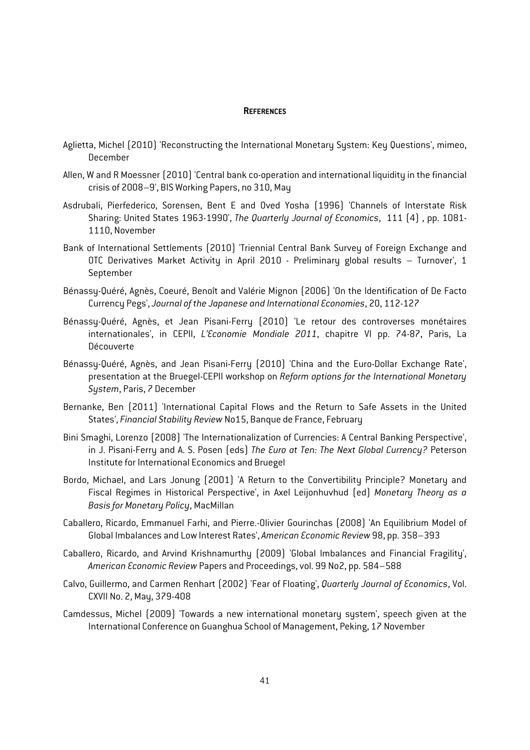#### **REFERENCES**

- Aglietta, Michel (2010) 'Reconstructing the International Monetary System: Key Questions', mimeo, December
- Allen, W and R Moessner (2010) 'Central bank co-operation and international liquidity in the financial crisis of 2008–9', BIS Working Papers, no 310, May
- Asdrubali, Pierfederico, Sorensen, Bent E and Oved Yosha (1996) 'Channels of Interstate Risk Sharing: United States 1963-1990', *The Quarterly Journal of Economics*, 111 (4) , pp. 1081- 1110, November
- Bank of International Settlements (2010) 'Triennial Central Bank Survey of Foreign Exchange and OTC Derivatives Market Activity in April 2010 - Preliminary global results – Turnover', 1 September
- Bénassy-Quéré, Agnès, Coeuré, Benoît and Valérie Mignon (2006) 'On the Identification of De Facto Currency Pegs', *Journal of the Japanese and International Economies*, 20, 112-127
- Bénassy-Quéré, Agnès, et Jean Pisani-Ferry (2010) 'Le retour des controverses monétaires internationales', in CEPII, *L'Economie Mondiale 2011*, chapitre VI pp. 74-87, Paris, La Découverte
- Bénassy-Quéré, Agnès, and Jean Pisani-Ferry (2010) 'China and the Euro-Dollar Exchange Rate', presentation at the Bruegel-CEPII workshop on *Reform options for the International Monetary System*, Paris, 7 December
- Bernanke, Ben (2011) 'International Capital Flows and the Return to Safe Assets in the United States', *Financial Stability Review* No15, Banque de France, February
- Bini Smaghi, Lorenzo (2008) 'The Internationalization of Currencies: A Central Banking Perspective', in J. Pisani-Ferry and A. S. Posen (eds) *The Euro at Ten: The Next Global Currency?* Peterson Institute for International Economics and Bruegel
- Bordo, Michael, and Lars Jonung (2001) 'A Return to the Convertibility Principle? Monetary and Fiscal Regimes in Historical Perspective', in Axel Leijonhuvhud (ed) *Monetary Theory as a Basis for Monetary Policy*, MacMillan
- Caballero, Ricardo, Emmanuel Farhi, and Pierre.-Olivier Gourinchas (2008) 'An Equilibrium Model of Global Imbalances and Low Interest Rates', *American Economic Review* 98, pp. 358–393
- Caballero, Ricardo, and Arvind Krishnamurthy (2009) 'Global Imbalances and Financial Fragility', *American Economic Review* Papers and Proceedings, vol. 99 No2, pp. 584–588
- Calvo, Guillermo, and Carmen Renhart (2002) 'Fear of Floating', *Quarterly Journal of Economics*, Vol. CXVII No. 2, May, 379-408
- Camdessus, Michel (2009) 'Towards a new international monetary system', speech given at the International Conference on Guanghua School of Management, Peking, 17 November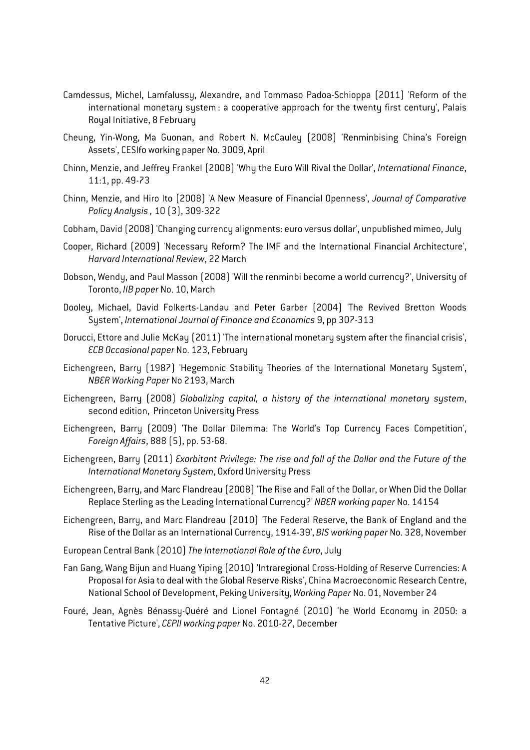- Camdessus, Michel, Lamfalussy, Alexandre, and Tommaso Padoa-Schioppa (2011) 'Reform of the international monetary system : a cooperative approach for the twenty first century', Palais Royal Initiative, 8 February
- Cheung, Yin-Wong, Ma Guonan, and Robert N. McCauley (2008) 'Renminbising China's Foreign Assets', CESIfo working paper No. 3009, April
- Chinn, Menzie, and Jeffrey Frankel (2008) 'Why the Euro Will Rival the Dollar', *International Finance*, 11:1, pp. 49-73
- Chinn, Menzie, and Hiro Ito (2008) 'A New Measure of Financial Openness', *Journal of Comparative Policy Analysis ,* 10 (3), 309-322
- Cobham, David (2008) 'Changing currency alignments: euro versus dollar', unpublished mimeo, July
- Cooper, Richard (2009) 'Necessary Reform? The IMF and the International Financial Architecture', *Harvard International Review*, 22 March
- Dobson, Wendy, and Paul Masson (2008) 'Will the renminbi become a world currency?', University of Toronto, *IIB paper* No. 10, March
- Dooley, Michael, David Folkerts-Landau and Peter Garber (2004) 'The Revived Bretton Woods System', *International Journal of Finance and Economics* 9, pp 307-313
- Dorucci, Ettore and Julie McKay (2011) 'The international monetary system after the financial crisis', *ECB Occasional paper* No. 123, February
- Eichengreen, Barry (1987) 'Hegemonic Stability Theories of the International Monetary System', *NBER Working Paper* No 2193, March
- Eichengreen, Barry (2008) *Globalizing capital, a history of the international monetary system*, second edition, Princeton University Press
- Eichengreen, Barry (2009) 'The Dollar Dilemma: The World's Top Currency Faces Competition', *Foreign Affairs*, 888 (5), pp. 53-68.
- Eichengreen, Barry (2011) *Exorbitant Privilege: The rise and fall of the Dollar and the Future of the International Monetary System*, Oxford University Press
- Eichengreen, Barry, and Marc Flandreau (2008) 'The Rise and Fall of the Dollar, or When Did the Dollar Replace Sterling as the Leading International Currency?' *NBER working paper* No. 14154
- Eichengreen, Barry, and Marc Flandreau (2010) 'The Federal Reserve, the Bank of England and the Rise of the Dollar as an International Currency, 1914-39', *BIS working paper* No. 328, November
- European Central Bank (2010) *The International Role of the Euro*, July
- Fan Gang, Wang Bijun and Huang Yiping (2010) 'Intraregional Cross-Holding of Reserve Currencies: A Proposal for Asia to deal with the Global Reserve Risks', China Macroeconomic Research Centre, National School of Development, Peking University, *Working Paper* No. 01, November 24
- Fouré, Jean, Agnès Bénassy-Quéré and Lionel Fontagné (2010) 'he World Economy in 2050: a Tentative Picture', *CEPII working paper* No. 2010-27, December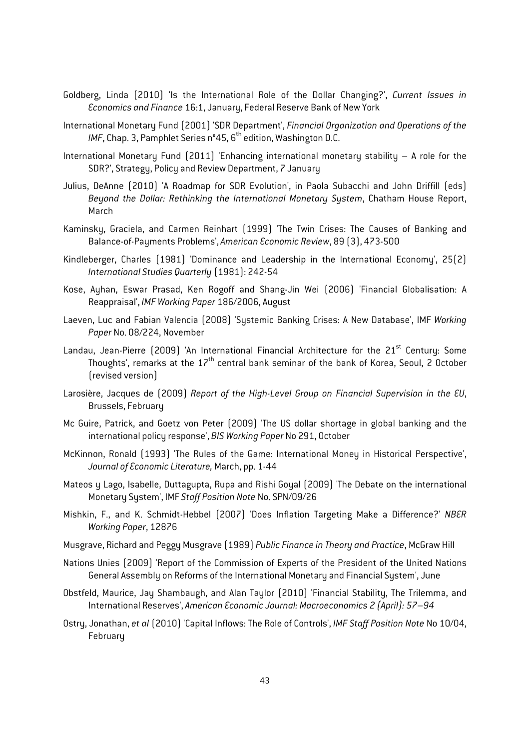- Goldberg, Linda (2010) 'Is the International Role of the Dollar Changing?', *Current Issues in Economics and Finance* 16:1, January, Federal Reserve Bank of New York
- International Monetary Fund (2001) 'SDR Department', *Financial Organization and Operations of the IMF*, Chap. 3, Pamphlet Series n°45, 6<sup>th</sup> edition, Washington D.C.
- International Monetary Fund (2011) 'Enhancing international monetary stability A role for the SDR?', Strategy, Policy and Review Department, 7 January
- Julius, DeAnne (2010) 'A Roadmap for SDR Evolution', in Paola Subacchi and John Driffill (eds) *Beyond the Dollar: Rethinking the International Monetary System*, Chatham House Report, March
- Kaminsky, Graciela, and Carmen Reinhart (1999) 'The Twin Crises: The Causes of Banking and Balance-of-Payments Problems', *American Economic Review*, 89 (3), 473-500
- Kindleberger, Charles (1981) 'Dominance and Leadership in the International Economy', 25(2) *International Studies Quarterly* (1981): 242-54
- Kose, Ayhan, Eswar Prasad, Ken Rogoff and Shang-Jin Wei (2006) 'Financial Globalisation: A Reappraisal', *IMF Working Paper* 186/2006, August
- Laeven, Luc and Fabian Valencia (2008) 'Systemic Banking Crises: A New Database', IMF *Working Paper* No. 08/224, November
- Landau, Jean-Pierre (2009) 'An International Financial Architecture for the 21<sup>st</sup> Century: Some Thoughts', remarks at the  $17<sup>th</sup>$  central bank seminar of the bank of Korea, Seoul, 2 October (revised version)
- Larosière, Jacques de (2009) *Report of the High-Level Group on Financial Supervision in the EU*, Brussels, February
- Mc Guire, Patrick, and Goetz von Peter (2009) 'The US dollar shortage in global banking and the international policy response', *BIS Working Paper* No 291, October
- McKinnon, Ronald (1993) 'The Rules of the Game: International Money in Historical Perspective', *Journal of Economic Literature,* March, pp. 1-44
- Mateos y Lago, Isabelle, Duttagupta, Rupa and Rishi Goyal (2009) 'The Debate on the international Monetary System', IMF *Staff Position Note* No. SPN/09/26
- Mishkin, F., and K. Schmidt-Hebbel (2007) 'Does Inflation Targeting Make a Difference?' *NBER Working Paper*, 12876
- Musgrave, Richard and Peggy Musgrave (1989) *Public Finance in Theory and Practice*, McGraw Hill
- Nations Unies (2009) 'Report of the Commission of Experts of the President of the United Nations General Assembly on Reforms of the International Monetary and Financial System', June
- Obstfeld, Maurice, Jay Shambaugh, and Alan Taylor (2010) 'Financial Stability, The Trilemma, and International Reserves', *American Economic Journal: Macroeconomics 2 (April): 57–94*
- Ostry, Jonathan, *et al* (2010) 'Capital Inflows: The Role of Controls', *IMF Staff Position Note* No 10/04, February